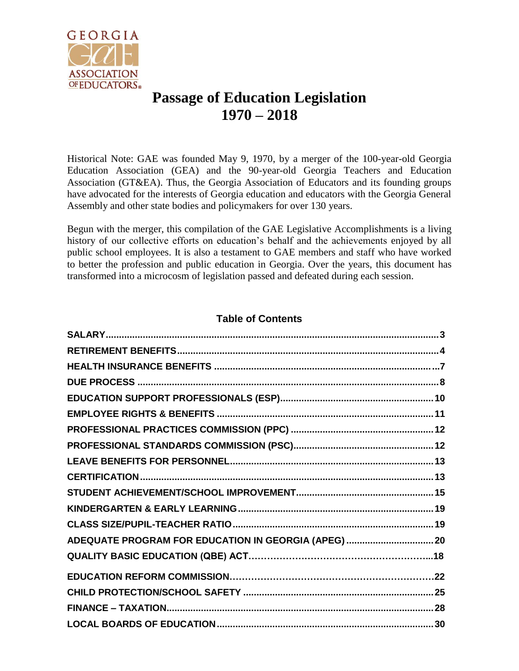

# **Passage of Education Legislation 1970 – 2018**

Historical Note: GAE was founded May 9, 1970, by a merger of the 100-year-old Georgia Education Association (GEA) and the 90-year-old Georgia Teachers and Education Association (GT&EA). Thus, the Georgia Association of Educators and its founding groups have advocated for the interests of Georgia education and educators with the Georgia General Assembly and other state bodies and policymakers for over 130 years.

Begun with the merger, this compilation of the GAE Legislative Accomplishments is a living history of our collective efforts on education's behalf and the achievements enjoyed by all public school employees. It is also a testament to GAE members and staff who have worked to better the profession and public education in Georgia. Over the years, this document has transformed into a microcosm of legislation passed and defeated during each session.

## **Table of Contents**

| ADEQUATE PROGRAM FOR EDUCATION IN GEORGIA (APEG)  20 |  |
|------------------------------------------------------|--|
|                                                      |  |
|                                                      |  |
|                                                      |  |
|                                                      |  |
|                                                      |  |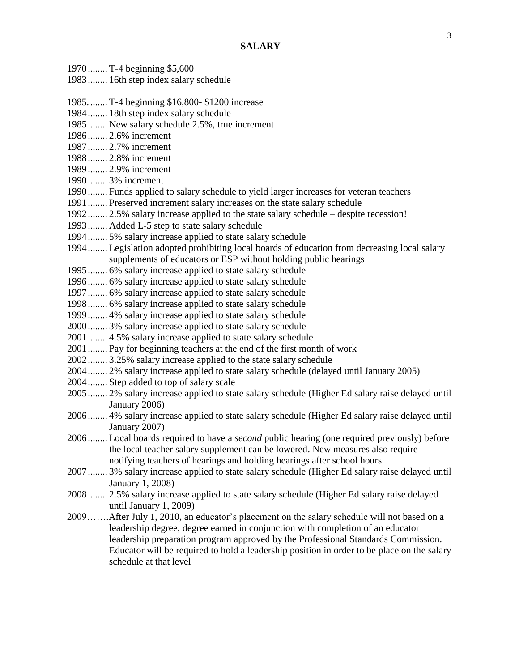<span id="page-2-0"></span>

| 1970 T-4 beginning \$5,600                                                                     |
|------------------------------------------------------------------------------------------------|
| 1983 16th step index salary schedule                                                           |
|                                                                                                |
| 1985.  T-4 beginning \$16,800-\$1200 increase                                                  |
| 1984 18th step index salary schedule                                                           |
| 1985 New salary schedule 2.5%, true increment                                                  |
| 1986 2.6% increment                                                                            |
| 1987 2.7% increment                                                                            |
| 1988 2.8% increment                                                                            |
| 1989 2.9% increment                                                                            |
| 1990 3% increment                                                                              |
| 1990 Funds applied to salary schedule to yield larger increases for veteran teachers           |
| 1991  Preserved increment salary increases on the state salary schedule                        |
| 1992 2.5% salary increase applied to the state salary schedule – despite recession!            |
| 1993 Added L-5 step to state salary schedule                                                   |
| 1994 5% salary increase applied to state salary schedule                                       |
| 1994 Legislation adopted prohibiting local boards of education from decreasing local salary    |
| supplements of educators or ESP without holding public hearings                                |
| 1995 6% salary increase applied to state salary schedule                                       |
| 1996 6% salary increase applied to state salary schedule                                       |
| 1997 6% salary increase applied to state salary schedule                                       |
| 1998 6% salary increase applied to state salary schedule                                       |
| 1999 4% salary increase applied to state salary schedule                                       |
| 2000 3% salary increase applied to state salary schedule                                       |
| 2001  4.5% salary increase applied to state salary schedule                                    |
| 2001 Pay for beginning teachers at the end of the first month of work                          |
| 2002 3.25% salary increase applied to the state salary schedule                                |
| 2004 2% salary increase applied to state salary schedule (delayed until January 2005)          |
| 2004 Step added to top of salary scale                                                         |
| 2005 2% salary increase applied to state salary schedule (Higher Ed salary raise delayed until |
| January 2006)                                                                                  |
| 2006 4% salary increase applied to state salary schedule (Higher Ed salary raise delayed until |
| January 2007)                                                                                  |
| 2006 Local boards required to have a second public hearing (one required previously) before    |
| the local teacher salary supplement can be lowered. New measures also require                  |
| notifying teachers of hearings and holding hearings after school hours                         |
| 2007 3% salary increase applied to state salary schedule (Higher Ed salary raise delayed until |
| January 1, 2008)                                                                               |
| 2008 2.5% salary increase applied to state salary schedule (Higher Ed salary raise delayed     |
| until January 1, 2009)                                                                         |
| 2009After July 1, 2010, an educator's placement on the salary schedule will not based on a     |
| leadership degree, degree earned in conjunction with completion of an educator                 |
| leadership preparation program approved by the Professional Standards Commission.              |
| Educator will be required to hold a leadership position in order to be place on the salary     |
| schedule at that level                                                                         |
|                                                                                                |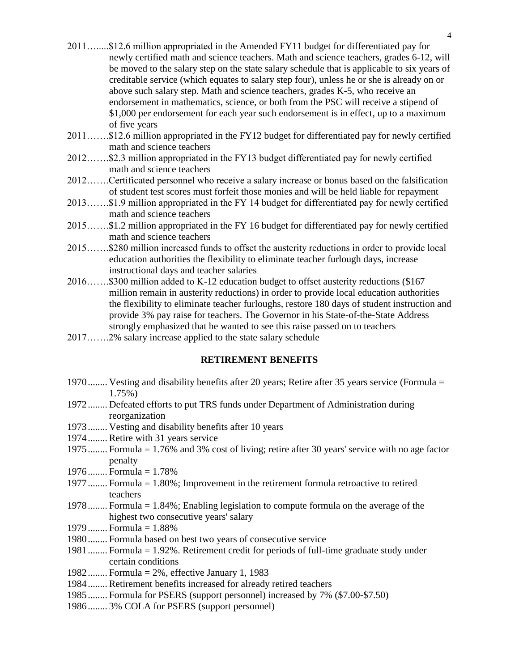- 2011….....\$12.6 million appropriated in the Amended FY11 budget for differentiated pay for newly certified math and science teachers. Math and science teachers, grades 6-12, will be moved to the salary step on the state salary schedule that is applicable to six years of creditable service (which equates to salary step four), unless he or she is already on or above such salary step. Math and science teachers, grades K-5, who receive an endorsement in mathematics, science, or both from the PSC will receive a stipend of \$1,000 per endorsement for each year such endorsement is in effect, up to a maximum of five years
- 2011…….\$12.6 million appropriated in the FY12 budget for differentiated pay for newly certified math and science teachers
- 2012…….\$2.3 million appropriated in the FY13 budget differentiated pay for newly certified math and science teachers
- 2012…….Certificated personnel who receive a salary increase or bonus based on the falsification of student test scores must forfeit those monies and will be held liable for repayment
- 2013…….\$1.9 million appropriated in the FY 14 budget for differentiated pay for newly certified math and science teachers
- 2015…….\$1.2 million appropriated in the FY 16 budget for differentiated pay for newly certified math and science teachers
- 2015…….\$280 million increased funds to offset the austerity reductions in order to provide local education authorities the flexibility to eliminate teacher furlough days, increase instructional days and teacher salaries
- 2016…….\$300 million added to K-12 education budget to offset austerity reductions (\$167 million remain in austerity reductions) in order to provide local education authorities the flexibility to eliminate teacher furloughs, restore 180 days of student instruction and provide 3% pay raise for teachers. The Governor in his State-of-the-State Address strongly emphasized that he wanted to see this raise passed on to teachers
- <span id="page-3-0"></span>2017…….2% salary increase applied to the state salary schedule

#### **RETIREMENT BENEFITS**

- 1970........ Vesting and disability benefits after 20 years; Retire after 35 years service (Formula = 1.75%)
- 1972........ Defeated efforts to put TRS funds under Department of Administration during reorganization
- 1973........ Vesting and disability benefits after 10 years
- 1974........ Retire with 31 years service
- 1975........ Formula = 1.76% and 3% cost of living; retire after 30 years' service with no age factor penalty
- 1976........ Formula = 1.78%
- 1977........ Formula = 1.80%; Improvement in the retirement formula retroactive to retired teachers
- 1978........ Formula = 1.84%; Enabling legislation to compute formula on the average of the highest two consecutive years' salary
- 1979........ Formula = 1.88%
- 1980........ Formula based on best two years of consecutive service
- 1981........ Formula = 1.92%. Retirement credit for periods of full-time graduate study under certain conditions
- 1982........ Formula = 2%, effective January 1, 1983
- 1984........ Retirement benefits increased for already retired teachers
- 1985........ Formula for PSERS (support personnel) increased by 7% (\$7.00-\$7.50)
- 1986........ 3% COLA for PSERS (support personnel)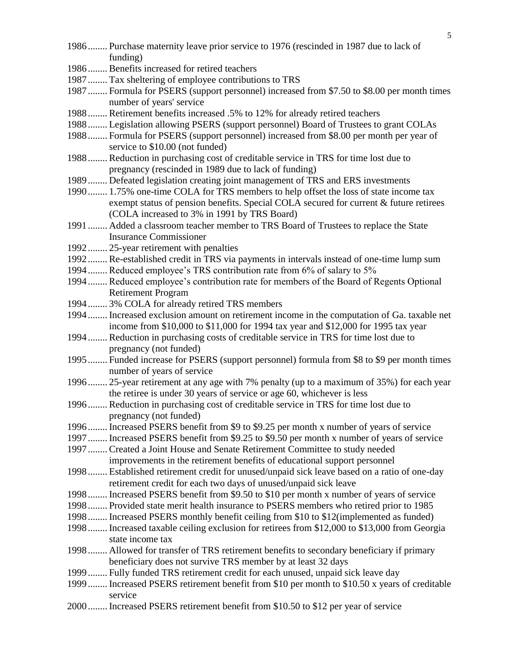| 1986 Purchase maternity leave prior service to 1976 (rescinded in 1987 due to lack of        |
|----------------------------------------------------------------------------------------------|
| funding)                                                                                     |
| 1986 Benefits increased for retired teachers                                                 |
| 1987 Tax sheltering of employee contributions to TRS                                         |
| 1987 Formula for PSERS (support personnel) increased from \$7.50 to \$8.00 per month times   |
| number of years' service                                                                     |
| 1988 Retirement benefits increased .5% to 12% for already retired teachers                   |
| 1988 Legislation allowing PSERS (support personnel) Board of Trustees to grant COLAs         |
| 1988 Formula for PSERS (support personnel) increased from \$8.00 per month per year of       |
| service to \$10.00 (not funded)                                                              |
| 1988 Reduction in purchasing cost of creditable service in TRS for time lost due to          |
| pregnancy (rescinded in 1989 due to lack of funding)                                         |
| 1989 Defeated legislation creating joint management of TRS and ERS investments               |
| 1990 1.75% one-time COLA for TRS members to help offset the loss of state income tax         |
| exempt status of pension benefits. Special COLA secured for current & future retirees        |
| (COLA increased to 3% in 1991 by TRS Board)                                                  |
| 1991  Added a classroom teacher member to TRS Board of Trustees to replace the State         |
| <b>Insurance Commissioner</b>                                                                |
| 1992 25-year retirement with penalties                                                       |
| 1992 Re-established credit in TRS via payments in intervals instead of one-time lump sum     |
| 1994 Reduced employee's TRS contribution rate from 6% of salary to 5%                        |
| 1994 Reduced employee's contribution rate for members of the Board of Regents Optional       |
| <b>Retirement Program</b>                                                                    |
| 1994 3% COLA for already retired TRS members                                                 |
| 1994 Increased exclusion amount on retirement income in the computation of Ga. taxable net   |
| income from \$10,000 to \$11,000 for 1994 tax year and \$12,000 for 1995 tax year            |
| 1994 Reduction in purchasing costs of creditable service in TRS for time lost due to         |
| pregnancy (not funded)                                                                       |
| 1995 Funded increase for PSERS (support personnel) formula from \$8 to \$9 per month times   |
| number of years of service                                                                   |
| 1996 25-year retirement at any age with 7% penalty (up to a maximum of 35%) for each year    |
| the retiree is under 30 years of service or age 60, whichever is less                        |
| 1996 Reduction in purchasing cost of creditable service in TRS for time lost due to          |
| pregnancy (not funded)                                                                       |
| 1996 Increased PSERS benefit from \$9 to \$9.25 per month x number of years of service       |
|                                                                                              |
| 1997 Increased PSERS benefit from \$9.25 to \$9.50 per month x number of years of service    |
| 1997 Created a Joint House and Senate Retirement Committee to study needed                   |
| improvements in the retirement benefits of educational support personnel                     |
| 1998 Established retirement credit for unused/unpaid sick leave based on a ratio of one-day  |
| retirement credit for each two days of unused/unpaid sick leave                              |
| 1998 Increased PSERS benefit from \$9.50 to \$10 per month x number of years of service      |
| 1998 Provided state merit health insurance to PSERS members who retired prior to 1985        |
| 1998 Increased PSERS monthly benefit ceiling from \$10 to \$12(implemented as funded)        |
| 1998 Increased taxable ceiling exclusion for retirees from \$12,000 to \$13,000 from Georgia |
| state income tax                                                                             |
| 1998 Allowed for transfer of TRS retirement benefits to secondary beneficiary if primary     |
| beneficiary does not survive TRS member by at least 32 days                                  |
| 1999 Fully funded TRS retirement credit for each unused, unpaid sick leave day               |
| 1999 Increased PSERS retirement benefit from \$10 per month to \$10.50 x years of creditable |
| service                                                                                      |
| 2000 Increased PSERS retirement benefit from \$10.50 to \$12 per year of service             |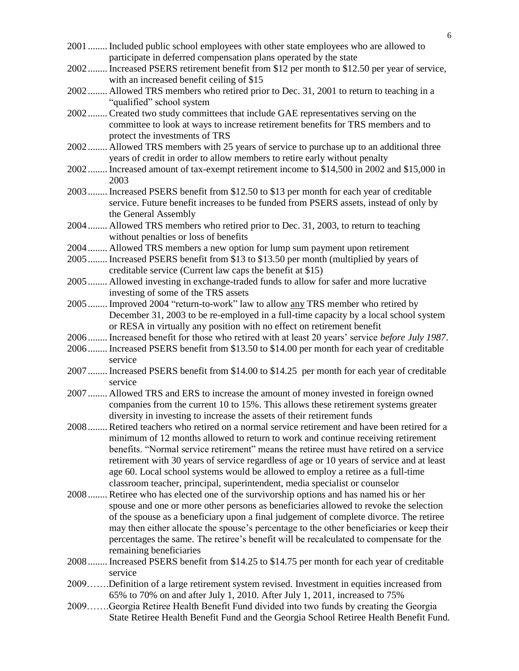- 2001........ Included public school employees with other state employees who are allowed to participate in deferred compensation plans operated by the state
- 2002........ Increased PSERS retirement benefit from \$12 per month to \$12.50 per year of service, with an increased benefit ceiling of \$15
- 2002........ Allowed TRS members who retired prior to Dec. 31, 2001 to return to teaching in a "qualified" school system
- 2002........ Created two study committees that include GAE representatives serving on the committee to look at ways to increase retirement benefits for TRS members and to protect the investments of TRS
- 2002........ Allowed TRS members with 25 years of service to purchase up to an additional three years of credit in order to allow members to retire early without penalty
- 2002........ Increased amount of tax-exempt retirement income to \$14,500 in 2002 and \$15,000 in 2003
- 2003........ Increased PSERS benefit from \$12.50 to \$13 per month for each year of creditable service. Future benefit increases to be funded from PSERS assets, instead of only by the General Assembly
- 2004........ Allowed TRS members who retired prior to Dec. 31, 2003, to return to teaching without penalties or loss of benefits
- 2004........ Allowed TRS members a new option for lump sum payment upon retirement
- 2005........ Increased PSERS benefit from \$13 to \$13.50 per month (multiplied by years of creditable service (Current law caps the benefit at \$15)
- 2005........ Allowed investing in exchange-traded funds to allow for safer and more lucrative investing of some of the TRS assets
- 2005........ Improved 2004 "return-to-work" law to allow any TRS member who retired by December 31, 2003 to be re-employed in a full-time capacity by a local school system or RESA in virtually any position with no effect on retirement benefit
- 2006........ Increased benefit for those who retired with at least 20 years' service *before July 1987*.
- 2006........ Increased PSERS benefit from \$13.50 to \$14.00 per month for each year of creditable service
- 2007........ Increased PSERS benefit from \$14.00 to \$14.25 per month for each year of creditable service
- 2007........ Allowed TRS and ERS to increase the amount of money invested in foreign owned companies from the current 10 to 15%. This allows these retirement systems greater diversity in investing to increase the assets of their retirement funds
- 2008........ Retired teachers who retired on a normal service retirement and have been retired for a minimum of 12 months allowed to return to work and continue receiving retirement benefits. "Normal service retirement" means the retiree must have retired on a service retirement with 30 years of service regardless of age or 10 years of service and at least age 60. Local school systems would be allowed to employ a retiree as a full-time classroom teacher, principal, superintendent, media specialist or counselor
- 2008........ Retiree who has elected one of the survivorship options and has named his or her spouse and one or more other persons as beneficiaries allowed to revoke the selection of the spouse as a beneficiary upon a final judgement of complete divorce. The retiree may then either allocate the spouse's percentage to the other beneficiaries or keep their percentages the same. The retiree's benefit will be recalculated to compensate for the remaining beneficiaries
- 2008........ Increased PSERS benefit from \$14.25 to \$14.75 per month for each year of creditable service
- 2009…….Definition of a large retirement system revised. Investment in equities increased from 65% to 70% on and after July 1, 2010. After July 1, 2011, increased to 75%
- 2009…….Georgia Retiree Health Benefit Fund divided into two funds by creating the Georgia State Retiree Health Benefit Fund and the Georgia School Retiree Health Benefit Fund.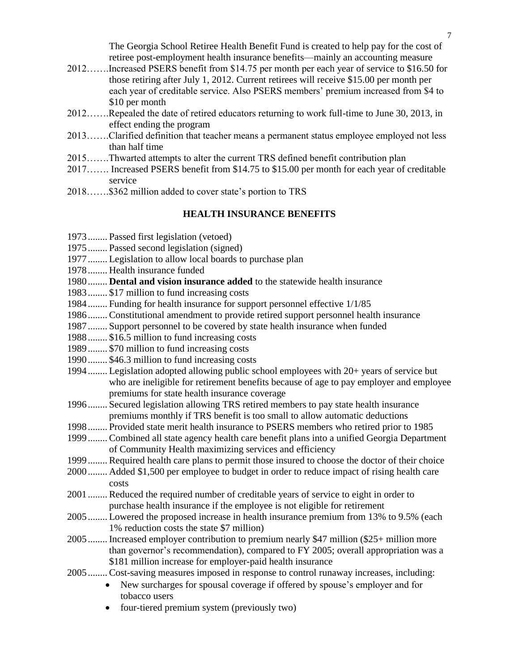The Georgia School Retiree Health Benefit Fund is created to help pay for the cost of retiree post-employment health insurance benefits—mainly an accounting measure

- 2012…….Increased PSERS benefit from \$14.75 per month per each year of service to \$16.50 for those retiring after July 1, 2012. Current retirees will receive \$15.00 per month per each year of creditable service. Also PSERS members' premium increased from \$4 to \$10 per month
- 2012…….Repealed the date of retired educators returning to work full-time to June 30, 2013, in effect ending the program
- 2013…….Clarified definition that teacher means a permanent status employee employed not less than half time
- 2015…….Thwarted attempts to alter the current TRS defined benefit contribution plan
- 2017……. Increased PSERS benefit from \$14.75 to \$15.00 per month for each year of creditable service
- <span id="page-6-0"></span>2018…….\$362 million added to cover state's portion to TRS

#### **HEALTH INSURANCE BENEFITS**

- 1973........ Passed first legislation (vetoed)
- 1975........ Passed second legislation (signed)
- 1977........ Legislation to allow local boards to purchase plan
- 1978........ Health insurance funded
- 1980........ **Dental and vision insurance added** to the statewide health insurance
- 1983........ \$17 million to fund increasing costs
- 1984........ Funding for health insurance for support personnel effective 1/1/85
- 1986........ Constitutional amendment to provide retired support personnel health insurance
- 1987........ Support personnel to be covered by state health insurance when funded
- 1988........ \$16.5 million to fund increasing costs
- 1989........ \$70 million to fund increasing costs
- 1990........ \$46.3 million to fund increasing costs
- 1994........ Legislation adopted allowing public school employees with 20+ years of service but who are ineligible for retirement benefits because of age to pay employer and employee premiums for state health insurance coverage
- 1996........ Secured legislation allowing TRS retired members to pay state health insurance premiums monthly if TRS benefit is too small to allow automatic deductions
- 1998........ Provided state merit health insurance to PSERS members who retired prior to 1985
- 1999........ Combined all state agency health care benefit plans into a unified Georgia Department of Community Health maximizing services and efficiency
- 1999........ Required health care plans to permit those insured to choose the doctor of their choice
- 2000........ Added \$1,500 per employee to budget in order to reduce impact of rising health care costs
- 2001........ Reduced the required number of creditable years of service to eight in order to purchase health insurance if the employee is not eligible for retirement
- 2005........ Lowered the proposed increase in health insurance premium from 13% to 9.5% (each 1% reduction costs the state \$7 million)
- 2005........ Increased employer contribution to premium nearly \$47 million (\$25+ million more than governor's recommendation), compared to FY 2005; overall appropriation was a \$181 million increase for employer-paid health insurance
- 2005........ Cost-saving measures imposed in response to control runaway increases, including:
	- New surcharges for spousal coverage if offered by spouse's employer and for tobacco users
	- four-tiered premium system (previously two)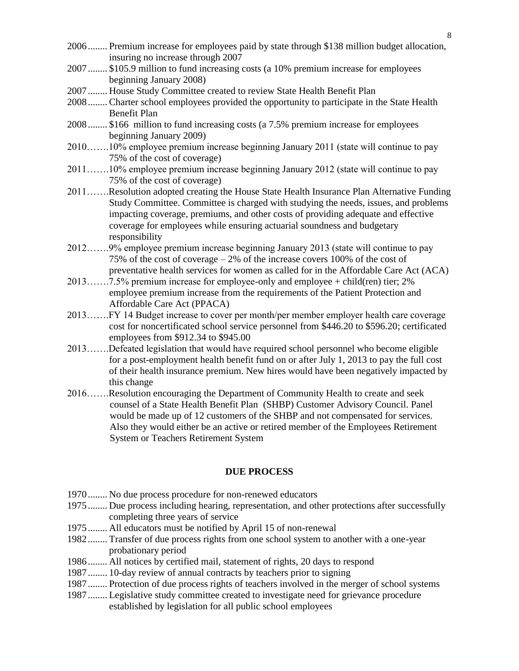- 2006........ Premium increase for employees paid by state through \$138 million budget allocation, insuring no increase through 2007
- 2007........ \$105.9 million to fund increasing costs (a 10% premium increase for employees beginning January 2008)
- 2007........ House Study Committee created to review State Health Benefit Plan
- 2008........ Charter school employees provided the opportunity to participate in the State Health Benefit Plan
- 2008........ \$166 million to fund increasing costs (a 7.5% premium increase for employees beginning January 2009)
- 2010…….10% employee premium increase beginning January 2011 (state will continue to pay 75% of the cost of coverage)
- 2011…….10% employee premium increase beginning January 2012 (state will continue to pay 75% of the cost of coverage)
- 2011…….Resolution adopted creating the House State Health Insurance Plan Alternative Funding Study Committee. Committee is charged with studying the needs, issues, and problems impacting coverage, premiums, and other costs of providing adequate and effective coverage for employees while ensuring actuarial soundness and budgetary responsibility
- 2012…….9% employee premium increase beginning January 2013 (state will continue to pay 75% of the cost of coverage – 2% of the increase covers 100% of the cost of preventative health services for women as called for in the Affordable Care Act (ACA)
- 2013…….7.5% premium increase for employee-only and employee + child(ren) tier; 2% employee premium increase from the requirements of the Patient Protection and Affordable Care Act (PPACA)
- 2013…….FY 14 Budget increase to cover per month/per member employer health care coverage cost for noncertificated school service personnel from \$446.20 to \$596.20; certificated employees from \$912.34 to \$945.00
- 2013…….Defeated legislation that would have required school personnel who become eligible for a post-employment health benefit fund on or after July 1, 2013 to pay the full cost of their health insurance premium. New hires would have been negatively impacted by this change
- 2016…….Resolution encouraging the Department of Community Health to create and seek counsel of a State Health Benefit Plan (SHBP) Customer Advisory Council. Panel would be made up of 12 customers of the SHBP and not compensated for services. Also they would either be an active or retired member of the Employees Retirement System or Teachers Retirement System

#### **DUE PROCESS**

- <span id="page-7-0"></span>1970........ No due process procedure for non-renewed educators
- 1975........ Due process including hearing, representation, and other protections after successfully completing three years of service
- 1975........ All educators must be notified by April 15 of non-renewal
- 1982........ Transfer of due process rights from one school system to another with a one-year probationary period
- 1986........ All notices by certified mail, statement of rights, 20 days to respond
- 1987........ 10-day review of annual contracts by teachers prior to signing
- 1987........ Protection of due process rights of teachers involved in the merger of school systems
- 1987........ Legislative study committee created to investigate need for grievance procedure established by legislation for all public school employees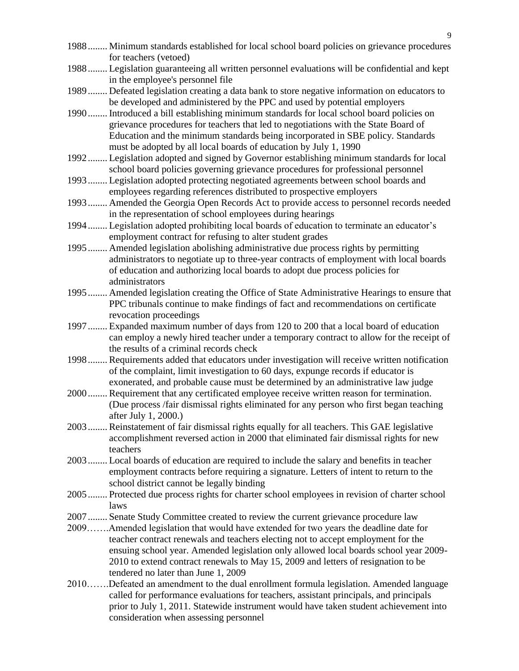- 1988........ Minimum standards established for local school board policies on grievance procedures for teachers (vetoed)
- 1988........ Legislation guaranteeing all written personnel evaluations will be confidential and kept in the employee's personnel file
- 1989........ Defeated legislation creating a data bank to store negative information on educators to be developed and administered by the PPC and used by potential employers
- 1990........ Introduced a bill establishing minimum standards for local school board policies on grievance procedures for teachers that led to negotiations with the State Board of Education and the minimum standards being incorporated in SBE policy. Standards must be adopted by all local boards of education by July 1, 1990
- 1992........ Legislation adopted and signed by Governor establishing minimum standards for local school board policies governing grievance procedures for professional personnel
- 1993........ Legislation adopted protecting negotiated agreements between school boards and employees regarding references distributed to prospective employers
- 1993........ Amended the Georgia Open Records Act to provide access to personnel records needed in the representation of school employees during hearings
- 1994........ Legislation adopted prohibiting local boards of education to terminate an educator's employment contract for refusing to alter student grades
- 1995........ Amended legislation abolishing administrative due process rights by permitting administrators to negotiate up to three-year contracts of employment with local boards of education and authorizing local boards to adopt due process policies for administrators
- 1995........ Amended legislation creating the Office of State Administrative Hearings to ensure that PPC tribunals continue to make findings of fact and recommendations on certificate revocation proceedings
- 1997........ Expanded maximum number of days from 120 to 200 that a local board of education can employ a newly hired teacher under a temporary contract to allow for the receipt of the results of a criminal records check
- 1998........ Requirements added that educators under investigation will receive written notification of the complaint, limit investigation to 60 days, expunge records if educator is exonerated, and probable cause must be determined by an administrative law judge
- 2000........ Requirement that any certificated employee receive written reason for termination. (Due process /fair dismissal rights eliminated for any person who first began teaching after July 1, 2000.)
- 2003........ Reinstatement of fair dismissal rights equally for all teachers. This GAE legislative accomplishment reversed action in 2000 that eliminated fair dismissal rights for new teachers
- 2003........ Local boards of education are required to include the salary and benefits in teacher employment contracts before requiring a signature. Letters of intent to return to the school district cannot be legally binding
- 2005........ Protected due process rights for charter school employees in revision of charter school laws
- 2007........ Senate Study Committee created to review the current grievance procedure law
- 2009…….Amended legislation that would have extended for two years the deadline date for teacher contract renewals and teachers electing not to accept employment for the ensuing school year. Amended legislation only allowed local boards school year 2009- 2010 to extend contract renewals to May 15, 2009 and letters of resignation to be tendered no later than June 1, 2009
- 2010…….Defeated an amendment to the dual enrollment formula legislation. Amended language called for performance evaluations for teachers, assistant principals, and principals prior to July 1, 2011. Statewide instrument would have taken student achievement into consideration when assessing personnel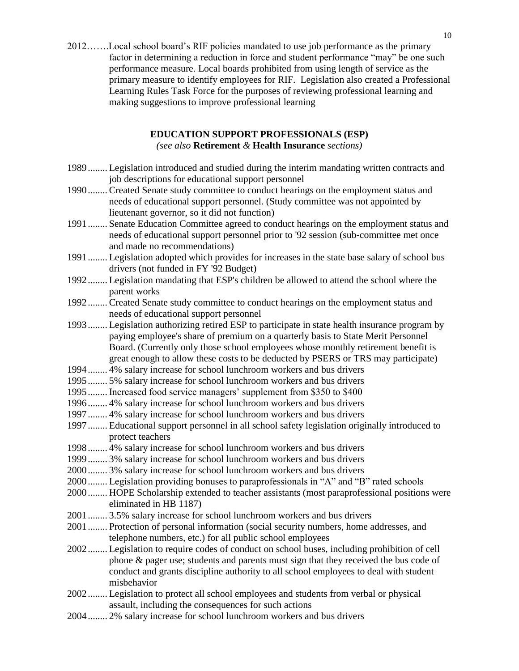2012…….Local school board's RIF policies mandated to use job performance as the primary factor in determining a reduction in force and student performance "may" be one such performance measure. Local boards prohibited from using length of service as the primary measure to identify employees for RIF. Legislation also created a Professional Learning Rules Task Force for the purposes of reviewing professional learning and making suggestions to improve professional learning

### **EDUCATION SUPPORT PROFESSIONALS (ESP)**

*(see also* **Retirement** *&* **Health Insurance** *sections)*

- <span id="page-9-0"></span>1989........ Legislation introduced and studied during the interim mandating written contracts and job descriptions for educational support personnel
- 1990........ Created Senate study committee to conduct hearings on the employment status and needs of educational support personnel. (Study committee was not appointed by lieutenant governor, so it did not function)
- 1991........ Senate Education Committee agreed to conduct hearings on the employment status and needs of educational support personnel prior to '92 session (sub-committee met once and made no recommendations)
- 1991........ Legislation adopted which provides for increases in the state base salary of school bus drivers (not funded in FY '92 Budget)
- 1992........ Legislation mandating that ESP's children be allowed to attend the school where the parent works
- 1992........ Created Senate study committee to conduct hearings on the employment status and needs of educational support personnel
- 1993........ Legislation authorizing retired ESP to participate in state health insurance program by paying employee's share of premium on a quarterly basis to State Merit Personnel Board. (Currently only those school employees whose monthly retirement benefit is great enough to allow these costs to be deducted by PSERS or TRS may participate)
- 1994........ 4% salary increase for school lunchroom workers and bus drivers
- 1995........ 5% salary increase for school lunchroom workers and bus drivers
- 1995........ Increased food service managers' supplement from \$350 to \$400
- 1996........ 4% salary increase for school lunchroom workers and bus drivers
- 1997........ 4% salary increase for school lunchroom workers and bus drivers
- 1997........ Educational support personnel in all school safety legislation originally introduced to protect teachers
- 1998........ 4% salary increase for school lunchroom workers and bus drivers
- 1999........ 3% salary increase for school lunchroom workers and bus drivers
- 2000........ 3% salary increase for school lunchroom workers and bus drivers
- 2000........ Legislation providing bonuses to paraprofessionals in "A" and "B" rated schools
- 2000........ HOPE Scholarship extended to teacher assistants (most paraprofessional positions were eliminated in HB 1187)
- 2001........ 3.5% salary increase for school lunchroom workers and bus drivers
- 2001........ Protection of personal information (social security numbers, home addresses, and telephone numbers, etc.) for all public school employees
- 2002........ Legislation to require codes of conduct on school buses, including prohibition of cell phone & pager use; students and parents must sign that they received the bus code of conduct and grants discipline authority to all school employees to deal with student misbehavior
- 2002........ Legislation to protect all school employees and students from verbal or physical assault, including the consequences for such actions
- 2004........ 2% salary increase for school lunchroom workers and bus drivers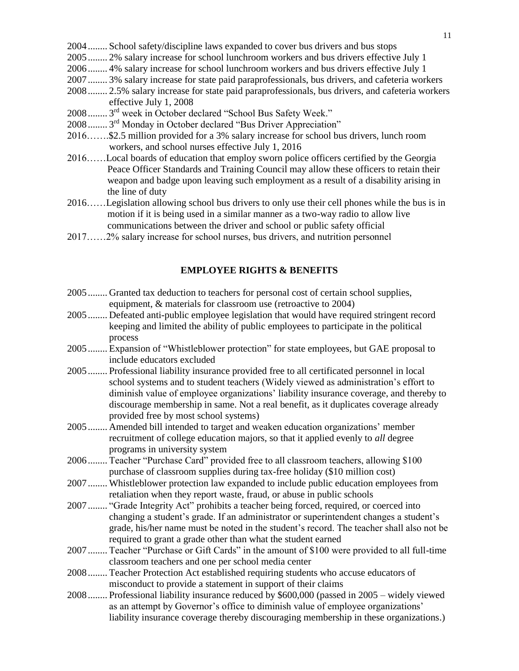- 2004........ School safety/discipline laws expanded to cover bus drivers and bus stops
- 2005........ 2% salary increase for school lunchroom workers and bus drivers effective July 1
- 2006........ 4% salary increase for school lunchroom workers and bus drivers effective July 1
- 2007........ 3% salary increase for state paid paraprofessionals, bus drivers, and cafeteria workers
- 2008........ 2.5% salary increase for state paid paraprofessionals, bus drivers, and cafeteria workers effective July 1, 2008
- 2008........ 3<sup>rd</sup> week in October declared "School Bus Safety Week."
- 2008........ 3<sup>rd</sup> Monday in October declared "Bus Driver Appreciation"
- 2016…….\$2.5 million provided for a 3% salary increase for school bus drivers, lunch room workers, and school nurses effective July 1, 2016
- 2016……Local boards of education that employ sworn police officers certified by the Georgia Peace Officer Standards and Training Council may allow these officers to retain their weapon and badge upon leaving such employment as a result of a disability arising in the line of duty
- 2016……Legislation allowing school bus drivers to only use their cell phones while the bus is in motion if it is being used in a similar manner as a two-way radio to allow live communications between the driver and school or public safety official
- <span id="page-10-0"></span>2017……2% salary increase for school nurses, bus drivers, and nutrition personnel

#### **EMPLOYEE RIGHTS & BENEFITS**

- 2005........ Granted tax deduction to teachers for personal cost of certain school supplies, equipment, & materials for classroom use (retroactive to 2004)
- 2005........ Defeated anti-public employee legislation that would have required stringent record keeping and limited the ability of public employees to participate in the political process
- 2005........ Expansion of "Whistleblower protection" for state employees, but GAE proposal to include educators excluded
- 2005........ Professional liability insurance provided free to all certificated personnel in local school systems and to student teachers (Widely viewed as administration's effort to diminish value of employee organizations' liability insurance coverage, and thereby to discourage membership in same. Not a real benefit, as it duplicates coverage already provided free by most school systems)
- 2005........ Amended bill intended to target and weaken education organizations' member recruitment of college education majors, so that it applied evenly to *all* degree programs in university system
- 2006........ Teacher "Purchase Card" provided free to all classroom teachers, allowing \$100 purchase of classroom supplies during tax-free holiday (\$10 million cost)
- 2007........ Whistleblower protection law expanded to include public education employees from retaliation when they report waste, fraud, or abuse in public schools
- 2007........ "Grade Integrity Act" prohibits a teacher being forced, required, or coerced into changing a student's grade. If an administrator or superintendent changes a student's grade, his/her name must be noted in the student's record. The teacher shall also not be required to grant a grade other than what the student earned
- 2007........ Teacher "Purchase or Gift Cards" in the amount of \$100 were provided to all full-time classroom teachers and one per school media center
- 2008........ Teacher Protection Act established requiring students who accuse educators of misconduct to provide a statement in support of their claims
- 2008........ Professional liability insurance reduced by \$600,000 (passed in 2005 widely viewed as an attempt by Governor's office to diminish value of employee organizations' liability insurance coverage thereby discouraging membership in these organizations.)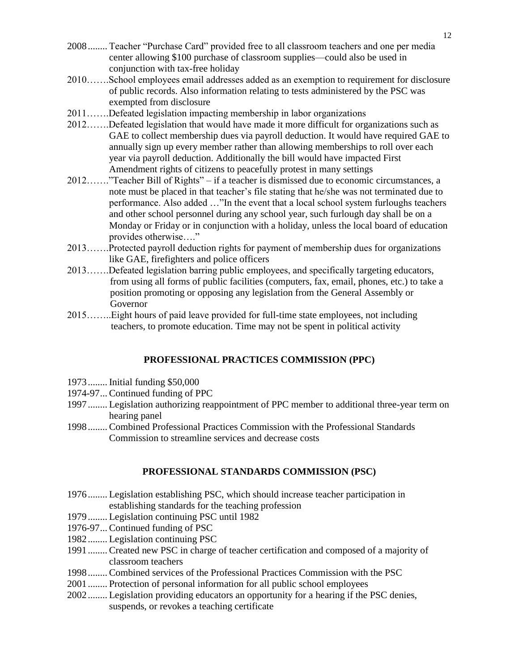- 2008........ Teacher "Purchase Card" provided free to all classroom teachers and one per media center allowing \$100 purchase of classroom supplies—could also be used in conjunction with tax-free holiday
- 2010…….School employees email addresses added as an exemption to requirement for disclosure of public records. Also information relating to tests administered by the PSC was exempted from disclosure
- 2011…….Defeated legislation impacting membership in labor organizations
- 2012…….Defeated legislation that would have made it more difficult for organizations such as GAE to collect membership dues via payroll deduction. It would have required GAE to annually sign up every member rather than allowing memberships to roll over each year via payroll deduction. Additionally the bill would have impacted First Amendment rights of citizens to peacefully protest in many settings
- 2012……."Teacher Bill of Rights" if a teacher is dismissed due to economic circumstances, a note must be placed in that teacher's file stating that he/she was not terminated due to performance. Also added …"In the event that a local school system furloughs teachers and other school personnel during any school year, such furlough day shall be on a Monday or Friday or in conjunction with a holiday, unless the local board of education provides otherwise…."
- 2013…….Protected payroll deduction rights for payment of membership dues for organizations like GAE, firefighters and police officers
- 2013…….Defeated legislation barring public employees, and specifically targeting educators, from using all forms of public facilities (computers, fax, email, phones, etc.) to take a position promoting or opposing any legislation from the General Assembly or Governor
- <span id="page-11-0"></span>2015……..Eight hours of paid leave provided for full-time state employees, not including teachers, to promote education. Time may not be spent in political activity

#### **PROFESSIONAL PRACTICES COMMISSION (PPC)**

- 1973........ Initial funding \$50,000
- 1974-97... Continued funding of PPC
- 1997........ Legislation authorizing reappointment of PPC member to additional three-year term on hearing panel
- <span id="page-11-1"></span>1998........ Combined Professional Practices Commission with the Professional Standards Commission to streamline services and decrease costs

#### **PROFESSIONAL STANDARDS COMMISSION (PSC)**

- 1976........ Legislation establishing PSC, which should increase teacher participation in establishing standards for the teaching profession
- 1979........ Legislation continuing PSC until 1982
- 1976-97... Continued funding of PSC
- 1982........ Legislation continuing PSC
- 1991........ Created new PSC in charge of teacher certification and composed of a majority of classroom teachers
- 1998........ Combined services of the Professional Practices Commission with the PSC
- 2001........ Protection of personal information for all public school employees
- 2002........ Legislation providing educators an opportunity for a hearing if the PSC denies, suspends, or revokes a teaching certificate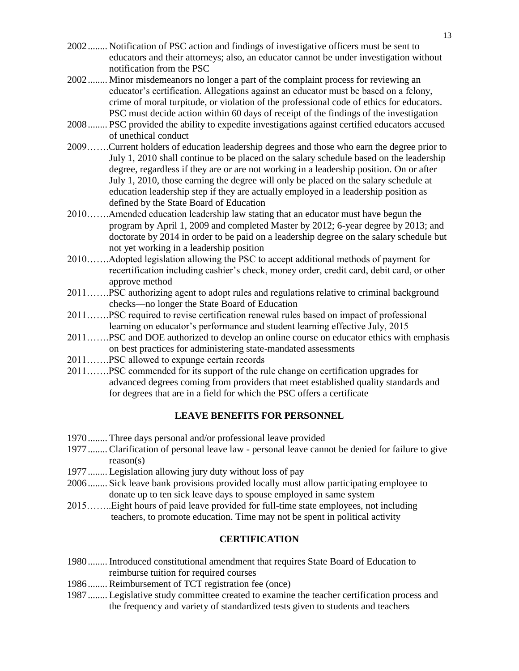- 2002........ Notification of PSC action and findings of investigative officers must be sent to educators and their attorneys; also, an educator cannot be under investigation without notification from the PSC
- 2002........ Minor misdemeanors no longer a part of the complaint process for reviewing an educator's certification. Allegations against an educator must be based on a felony, crime of moral turpitude, or violation of the professional code of ethics for educators. PSC must decide action within 60 days of receipt of the findings of the investigation
- 2008........ PSC provided the ability to expedite investigations against certified educators accused of unethical conduct
- 2009…….Current holders of education leadership degrees and those who earn the degree prior to July 1, 2010 shall continue to be placed on the salary schedule based on the leadership degree, regardless if they are or are not working in a leadership position. On or after July 1, 2010, those earning the degree will only be placed on the salary schedule at education leadership step if they are actually employed in a leadership position as defined by the State Board of Education
- 2010…….Amended education leadership law stating that an educator must have begun the program by April 1, 2009 and completed Master by 2012; 6-year degree by 2013; and doctorate by 2014 in order to be paid on a leadership degree on the salary schedule but not yet working in a leadership position
- 2010…….Adopted legislation allowing the PSC to accept additional methods of payment for recertification including cashier's check, money order, credit card, debit card, or other approve method
- 2011…….PSC authorizing agent to adopt rules and regulations relative to criminal background checks—no longer the State Board of Education
- 2011…….PSC required to revise certification renewal rules based on impact of professional learning on educator's performance and student learning effective July, 2015
- 2011…….PSC and DOE authorized to develop an online course on educator ethics with emphasis on best practices for administering state-mandated assessments
- 2011…….PSC allowed to expunge certain records
- 2011…….PSC commended for its support of the rule change on certification upgrades for advanced degrees coming from providers that meet established quality standards and for degrees that are in a field for which the PSC offers a certificate

#### **LEAVE BENEFITS FOR PERSONNEL**

- <span id="page-12-0"></span>1970........ Three days personal and/or professional leave provided
- 1977........ Clarification of personal leave law personal leave cannot be denied for failure to give reason(s)
- 1977........ Legislation allowing jury duty without loss of pay
- 2006........ Sick leave bank provisions provided locally must allow participating employee to donate up to ten sick leave days to spouse employed in same system
- 2015……..Eight hours of paid leave provided for full-time state employees, not including teachers, to promote education. Time may not be spent in political activity

#### **CERTIFICATION**

- <span id="page-12-1"></span>1980........ Introduced constitutional amendment that requires State Board of Education to reimburse tuition for required courses
- 1986........ Reimbursement of TCT registration fee (once)
- 1987........ Legislative study committee created to examine the teacher certification process and the frequency and variety of standardized tests given to students and teachers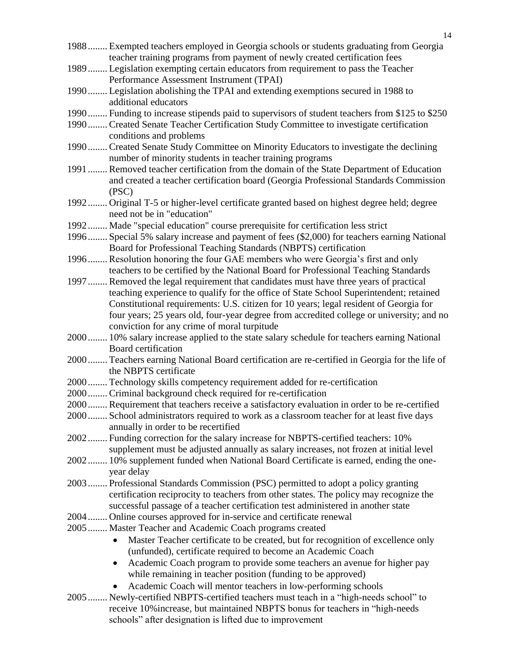- 1988........ Exempted teachers employed in Georgia schools or students graduating from Georgia teacher training programs from payment of newly created certification fees
- 1989........ Legislation exempting certain educators from requirement to pass the Teacher Performance Assessment Instrument (TPAI)
- 1990........ Legislation abolishing the TPAI and extending exemptions secured in 1988 to additional educators
- 1990........ Funding to increase stipends paid to supervisors of student teachers from \$125 to \$250
- 1990........ Created Senate Teacher Certification Study Committee to investigate certification conditions and problems
- 1990........ Created Senate Study Committee on Minority Educators to investigate the declining number of minority students in teacher training programs
- 1991........ Removed teacher certification from the domain of the State Department of Education and created a teacher certification board (Georgia Professional Standards Commission (PSC)
- 1992........ Original T-5 or higher-level certificate granted based on highest degree held; degree need not be in "education"
- 1992........ Made "special education" course prerequisite for certification less strict
- 1996........ Special 5% salary increase and payment of fees (\$2,000) for teachers earning National Board for Professional Teaching Standards (NBPTS) certification
- 1996........ Resolution honoring the four GAE members who were Georgia's first and only teachers to be certified by the National Board for Professional Teaching Standards
- 1997........ Removed the legal requirement that candidates must have three years of practical teaching experience to qualify for the office of State School Superintendent; retained Constitutional requirements: U.S. citizen for 10 years; legal resident of Georgia for four years; 25 years old, four-year degree from accredited college or university; and no conviction for any crime of moral turpitude
- 2000........ 10% salary increase applied to the state salary schedule for teachers earning National Board certification
- 2000........ Teachers earning National Board certification are re-certified in Georgia for the life of the NBPTS certificate
- 2000........ Technology skills competency requirement added for re-certification
- 2000........ Criminal background check required for re-certification
- 2000........ Requirement that teachers receive a satisfactory evaluation in order to be re-certified
- 2000........ School administrators required to work as a classroom teacher for at least five days annually in order to be recertified
- 2002........ Funding correction for the salary increase for NBPTS-certified teachers: 10% supplement must be adjusted annually as salary increases, not frozen at initial level
- 2002........ 10% supplement funded when National Board Certificate is earned, ending the oneyear delay
- 2003........ Professional Standards Commission (PSC) permitted to adopt a policy granting certification reciprocity to teachers from other states. The policy may recognize the successful passage of a teacher certification test administered in another state
- 2004........ Online courses approved for in-service and certificate renewal
- 2005........ Master Teacher and Academic Coach programs created
	- Master Teacher certificate to be created, but for recognition of excellence only (unfunded), certificate required to become an Academic Coach
	- Academic Coach program to provide some teachers an avenue for higher pay while remaining in teacher position (funding to be approved)
	- Academic Coach will mentor teachers in low-performing schools
- 2005........ Newly-certified NBPTS-certified teachers must teach in a "high-needs school" to receive 10%increase, but maintained NBPTS bonus for teachers in "high-needs schools" after designation is lifted due to improvement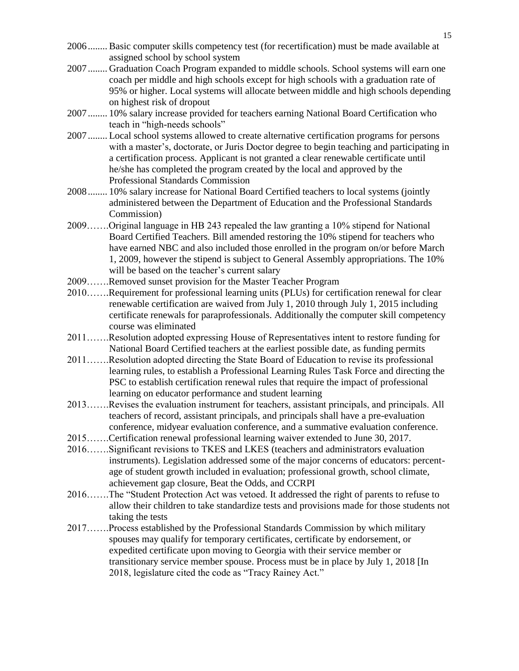- 2006........ Basic computer skills competency test (for recertification) must be made available at assigned school by school system
- 2007........ Graduation Coach Program expanded to middle schools. School systems will earn one coach per middle and high schools except for high schools with a graduation rate of 95% or higher. Local systems will allocate between middle and high schools depending on highest risk of dropout
- 2007........ 10% salary increase provided for teachers earning National Board Certification who teach in "high-needs schools"
- 2007........ Local school systems allowed to create alternative certification programs for persons with a master's, doctorate, or Juris Doctor degree to begin teaching and participating in a certification process. Applicant is not granted a clear renewable certificate until he/she has completed the program created by the local and approved by the Professional Standards Commission
- 2008........ 10% salary increase for National Board Certified teachers to local systems (jointly administered between the Department of Education and the Professional Standards Commission)
- 2009…….Original language in HB 243 repealed the law granting a 10% stipend for National Board Certified Teachers. Bill amended restoring the 10% stipend for teachers who have earned NBC and also included those enrolled in the program on/or before March 1, 2009, however the stipend is subject to General Assembly appropriations. The 10% will be based on the teacher's current salary
- 2009…….Removed sunset provision for the Master Teacher Program
- 2010…….Requirement for professional learning units (PLUs) for certification renewal for clear renewable certification are waived from July 1, 2010 through July 1, 2015 including certificate renewals for paraprofessionals. Additionally the computer skill competency course was eliminated
- 2011…….Resolution adopted expressing House of Representatives intent to restore funding for National Board Certified teachers at the earliest possible date, as funding permits
- 2011…….Resolution adopted directing the State Board of Education to revise its professional learning rules, to establish a Professional Learning Rules Task Force and directing the PSC to establish certification renewal rules that require the impact of professional learning on educator performance and student learning
- 2013…….Revises the evaluation instrument for teachers, assistant principals, and principals. All teachers of record, assistant principals, and principals shall have a pre-evaluation conference, midyear evaluation conference, and a summative evaluation conference.
- <span id="page-14-0"></span>2015…….Certification renewal professional learning waiver extended to June 30, 2017.
- 2016…….Significant revisions to TKES and LKES (teachers and administrators evaluation instruments). Legislation addressed some of the major concerns of educators: percentage of student growth included in evaluation; professional growth, school climate, achievement gap closure, Beat the Odds, and CCRPI
- 2016…….The "Student Protection Act was vetoed. It addressed the right of parents to refuse to allow their children to take standardize tests and provisions made for those students not taking the tests
- 2017…….Process established by the Professional Standards Commission by which military spouses may qualify for temporary certificates, certificate by endorsement, or expedited certificate upon moving to Georgia with their service member or transitionary service member spouse. Process must be in place by July 1, 2018 [In 2018, legislature cited the code as "Tracy Rainey Act."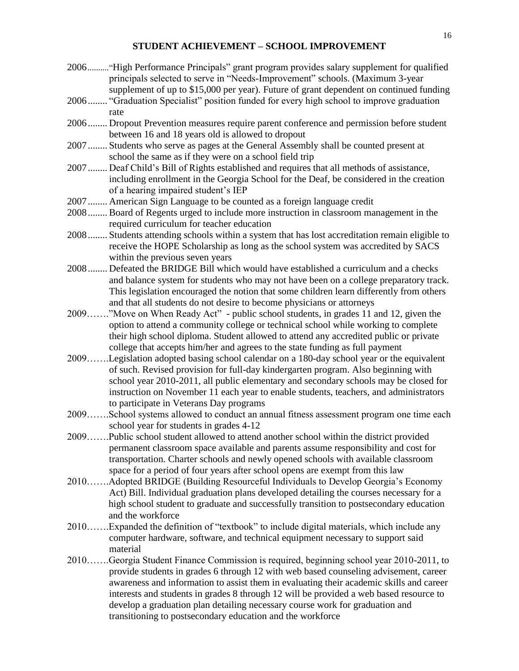#### **STUDENT ACHIEVEMENT – SCHOOL IMPROVEMENT**

2006.........."High Performance Principals" grant program provides salary supplement for qualified principals selected to serve in "Needs-Improvement" schools. (Maximum 3-year supplement of up to \$15,000 per year). Future of grant dependent on continued funding 2006........ "Graduation Specialist" position funded for every high school to improve graduation rate 2006........ Dropout Prevention measures require parent conference and permission before student between 16 and 18 years old is allowed to dropout 2007........ Students who serve as pages at the General Assembly shall be counted present at school the same as if they were on a school field trip 2007........ Deaf Child's Bill of Rights established and requires that all methods of assistance, including enrollment in the Georgia School for the Deaf, be considered in the creation of a hearing impaired student's IEP 2007........ American Sign Language to be counted as a foreign language credit 2008........ Board of Regents urged to include more instruction in classroom management in the required curriculum for teacher education 2008........ Students attending schools within a system that has lost accreditation remain eligible to receive the HOPE Scholarship as long as the school system was accredited by SACS within the previous seven years 2008........ Defeated the BRIDGE Bill which would have established a curriculum and a checks and balance system for students who may not have been on a college preparatory track. This legislation encouraged the notion that some children learn differently from others and that all students do not desire to become physicians or attorneys 2009……."Move on When Ready Act" - public school students, in grades 11 and 12, given the option to attend a community college or technical school while working to complete their high school diploma. Student allowed to attend any accredited public or private college that accepts him/her and agrees to the state funding as full payment 2009…….Legislation adopted basing school calendar on a 180-day school year or the equivalent of such. Revised provision for full-day kindergarten program. Also beginning with school year 2010-2011, all public elementary and secondary schools may be closed for instruction on November 11 each year to enable students, teachers, and administrators to participate in Veterans Day programs 2009…….School systems allowed to conduct an annual fitness assessment program one time each school year for students in grades 4-12 2009…….Public school student allowed to attend another school within the district provided permanent classroom space available and parents assume responsibility and cost for transportation. Charter schools and newly opened schools with available classroom space for a period of four years after school opens are exempt from this law 2010…….Adopted BRIDGE (Building Resourceful Individuals to Develop Georgia's Economy Act) Bill. Individual graduation plans developed detailing the courses necessary for a high school student to graduate and successfully transition to postsecondary education and the workforce 2010…….Expanded the definition of "textbook" to include digital materials, which include any computer hardware, software, and technical equipment necessary to support said material 2010…….Georgia Student Finance Commission is required, beginning school year 2010-2011, to provide students in grades 6 through 12 with web based counseling advisement, career awareness and information to assist them in evaluating their academic skills and career interests and students in grades 8 through 12 will be provided a web based resource to develop a graduation plan detailing necessary course work for graduation and

transitioning to postsecondary education and the workforce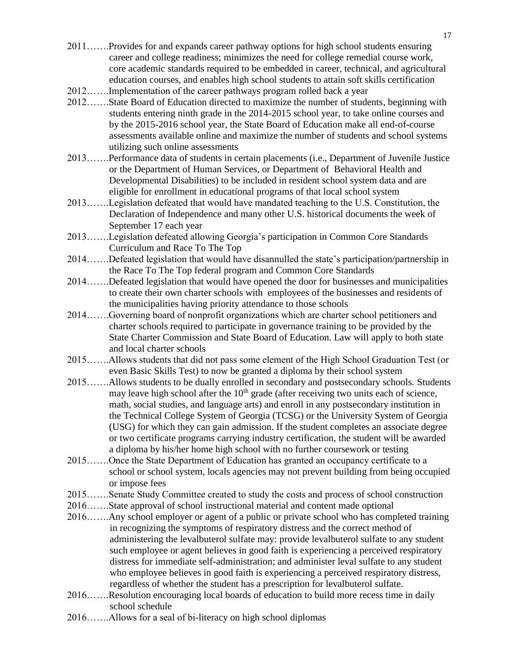- 2011…….Provides for and expands career pathway options for high school students ensuring career and college readiness; minimizes the need for college remedial course work, core academic standards required to be embedded in career, technical, and agricultural education courses, and enables high school students to attain soft skills certification
- 2012…….Implementation of the career pathways program rolled back a year
- 2012…….State Board of Education directed to maximize the number of students, beginning with students entering ninth grade in the 2014-2015 school year, to take online courses and by the 2015-2016 school year, the State Board of Education make all end-of-course assessments available online and maximize the number of students and school systems utilizing such online assessments
- 2013…….Performance data of students in certain placements (i.e., Department of Juvenile Justice or the Department of Human Services, or Department of Behavioral Health and Developmental Disabilities) to be included in resident school system data and are eligible for enrollment in educational programs of that local school system
- 2013…….Legislation defeated that would have mandated teaching to the U.S. Constitution, the Declaration of Independence and many other U.S. historical documents the week of September 17 each year
- 2013…….Legislation defeated allowing Georgia's participation in Common Core Standards Curriculum and Race To The Top
- 2014…….Defeated legislation that would have disannulled the state's participation/partnership in the Race To The Top federal program and Common Core Standards
- 2014…….Defeated legislation that would have opened the door for businesses and municipalities to create their own charter schools with employees of the businesses and residents of the municipalities having priority attendance to those schools
- 2014…….Governing board of nonprofit organizations which are charter school petitioners and charter schools required to participate in governance training to be provided by the State Charter Commission and State Board of Education. Law will apply to both state and local charter schools
- 2015…….Allows students that did not pass some element of the High School Graduation Test (or even Basic Skills Test) to now be granted a diploma by their school system
- 2015…….Allows students to be dually enrolled in secondary and postsecondary schools. Students may leave high school after the  $10<sup>th</sup>$  grade (after receiving two units each of science, math, social studies, and language arts) and enroll in any postsecondary institution in the Technical College System of Georgia (TCSG) or the University System of Georgia (USG) for which they can gain admission. If the student completes an associate degree or two certificate programs carrying industry certification, the student will be awarded a diploma by his/her home high school with no further coursework or testing
- 2015…….Once the State Department of Education has granted an occupancy certificate to a school or school system, locals agencies may not prevent building from being occupied or impose fees
- 2015…….Senate Study Committee created to study the costs and process of school construction
- 2016…….State approval of school instructional material and content made optional
- 2016…….Any school employer or agent of a public or private school who has completed training in recognizing the symptoms of respiratory distress and the correct method of administering the levalbuterol sulfate may: provide levalbuterol sulfate to any student such employee or agent believes in good faith is experiencing a perceived respiratory distress for immediate self-administration; and administer leval sulfate to any student who employee believes in good faith is experiencing a perceived respiratory distress, regardless of whether the student has a prescription for levalbuterol sulfate.
- 2016…….Resolution encouraging local boards of education to build more recess time in daily school schedule
- 2016…….Allows for a seal of bi-literacy on high school diplomas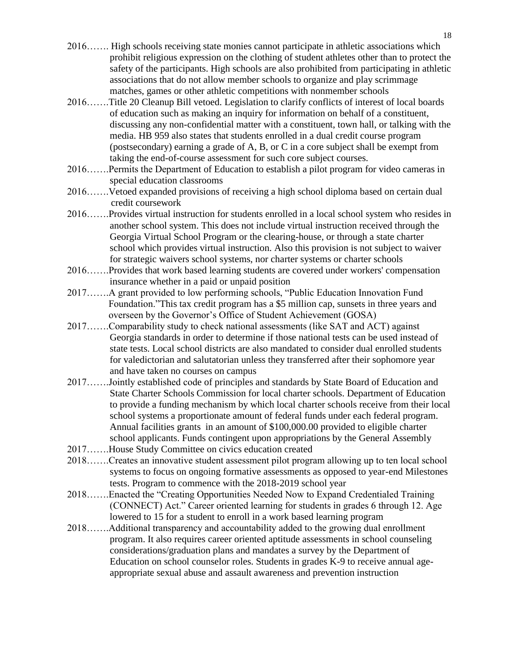- 2016……. High schools receiving state monies cannot participate in athletic associations which prohibit religious expression on the clothing of student athletes other than to protect the safety of the participants. High schools are also prohibited from participating in athletic associations that do not allow member schools to organize and play scrimmage matches, games or other athletic competitions with nonmember schools
- 2016…….Title 20 Cleanup Bill vetoed. Legislation to clarify conflicts of interest of local boards of education such as making an inquiry for information on behalf of a constituent, discussing any non-confidential matter with a constituent, town hall, or talking with the media. HB 959 also states that students enrolled in a dual credit course program (postsecondary) earning a grade of A, B, or C in a core subject shall be exempt from taking the end-of-course assessment for such core subject courses.
- 2016…….Permits the Department of Education to establish a pilot program for video cameras in special education classrooms
- 2016…….Vetoed expanded provisions of receiving a high school diploma based on certain dual credit coursework
- 2016…….Provides virtual instruction for students enrolled in a local school system who resides in another school system. This does not include virtual instruction received through the Georgia Virtual School Program or the clearing-house, or through a state charter school which provides virtual instruction. Also this provision is not subject to waiver for strategic waivers school systems, nor charter systems or charter schools
- 2016…….Provides that work based learning students are covered under workers' compensation insurance whether in a paid or unpaid position
- 2017…….A grant provided to low performing schools, "Public Education Innovation Fund Foundation."This tax credit program has a \$5 million cap, sunsets in three years and overseen by the Governor's Office of Student Achievement (GOSA)
- 2017…….Comparability study to check national assessments (like SAT and ACT) against Georgia standards in order to determine if those national tests can be used instead of state tests. Local school districts are also mandated to consider dual enrolled students for valedictorian and salutatorian unless they transferred after their sophomore year and have taken no courses on campus
- 2017…….Jointly established code of principles and standards by State Board of Education and State Charter Schools Commission for local charter schools. Department of Education to provide a funding mechanism by which local charter schools receive from their local school systems a proportionate amount of federal funds under each federal program. Annual facilities grants in an amount of \$100,000.00 provided to eligible charter school applicants. Funds contingent upon appropriations by the General Assembly
- 2017…….House Study Committee on civics education created
- 2018…….Creates an innovative student assessment pilot program allowing up to ten local school systems to focus on ongoing formative assessments as opposed to year-end Milestones tests. Program to commence with the 2018-2019 school year
- 2018…….Enacted the "Creating Opportunities Needed Now to Expand Credentialed Training (CONNECT) Act." Career oriented learning for students in grades 6 through 12. Age lowered to 15 for a student to enroll in a work based learning program
- 2018…….Additional transparency and accountability added to the growing dual enrollment program. It also requires career oriented aptitude assessments in school counseling considerations/graduation plans and mandates a survey by the Department of Education on school counselor roles. Students in grades K-9 to receive annual age appropriate sexual abuse and assault awareness and prevention instruction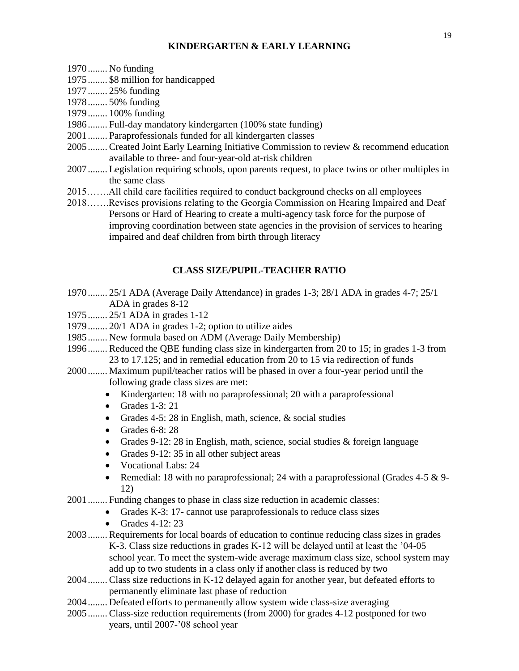#### **KINDERGARTEN & EARLY LEARNING**

- <span id="page-18-0"></span>1970........ No funding
- 1975........ \$8 million for handicapped
- 1977........ 25% funding
- 1978........ 50% funding
- 1979........ 100% funding
- 1986........ Full-day mandatory kindergarten (100% state funding)
- 2001........ Paraprofessionals funded for all kindergarten classes
- 2005........ Created Joint Early Learning Initiative Commission to review & recommend education available to three- and four-year-old at-risk children
- 2007........ Legislation requiring schools, upon parents request, to place twins or other multiples in the same class
- 2015…….All child care facilities required to conduct background checks on all employees
- 2018…….Revises provisions relating to the Georgia Commission on Hearing Impaired and Deaf Persons or Hard of Hearing to create a multi-agency task force for the purpose of improving coordination between state agencies in the provision of services to hearing impaired and deaf children from birth through literacy

#### **CLASS SIZE/PUPIL-TEACHER RATIO**

- <span id="page-18-1"></span>1970........ 25/1 ADA (Average Daily Attendance) in grades 1-3; 28/1 ADA in grades 4-7; 25/1 ADA in grades 8-12
- 1975........ 25/1 ADA in grades 1-12
- 1979........ 20/1 ADA in grades 1-2; option to utilize aides
- 1985........ New formula based on ADM (Average Daily Membership)
- 1996........ Reduced the QBE funding class size in kindergarten from 20 to 15; in grades 1-3 from 23 to 17.125; and in remedial education from 20 to 15 via redirection of funds
- 2000........ Maximum pupil/teacher ratios will be phased in over a four-year period until the following grade class sizes are met:
	- Kindergarten: 18 with no paraprofessional; 20 with a paraprofessional
	- Grades 1-3: 21
	- Grades 4-5: 28 in English, math, science, & social studies
	- Grades 6-8: 28
	- Grades 9-12: 28 in English, math, science, social studies & foreign language
	- Grades 9-12: 35 in all other subject areas
	- Vocational Labs: 24
	- Remedial: 18 with no paraprofessional; 24 with a paraprofessional (Grades 4-5 & 9-12)
- 2001........ Funding changes to phase in class size reduction in academic classes:
	- Grades K-3: 17- cannot use paraprofessionals to reduce class sizes
	- Grades  $4-12:23$
- 2003........ Requirements for local boards of education to continue reducing class sizes in grades K-3. Class size reductions in grades K-12 will be delayed until at least the '04-05 school year. To meet the system-wide average maximum class size, school system may add up to two students in a class only if another class is reduced by two
- 2004........ Class size reductions in K-12 delayed again for another year, but defeated efforts to permanently eliminate last phase of reduction
- 2004........ Defeated efforts to permanently allow system wide class-size averaging
- 2005........ Class-size reduction requirements (from 2000) for grades 4-12 postponed for two years, until 2007-'08 school year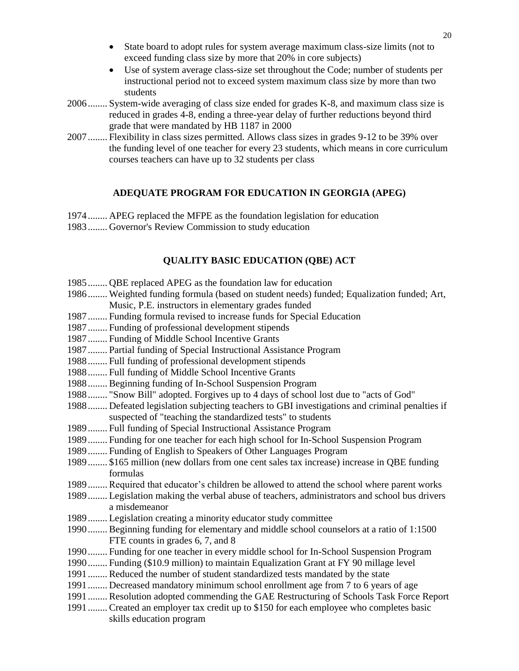- State board to adopt rules for system average maximum class-size limits (not to exceed funding class size by more that 20% in core subjects)
- Use of system average class-size set throughout the Code; number of students per instructional period not to exceed system maximum class size by more than two students
- 2006........ System-wide averaging of class size ended for grades K-8, and maximum class size is reduced in grades 4-8, ending a three-year delay of further reductions beyond third grade that were mandated by HB 1187 in 2000
- <span id="page-19-0"></span>2007........ Flexibility in class sizes permitted. Allows class sizes in grades 9-12 to be 39% over the funding level of one teacher for every 23 students, which means in core curriculum courses teachers can have up to 32 students per class

#### **ADEQUATE PROGRAM FOR EDUCATION IN GEORGIA (APEG)**

1974........ APEG replaced the MFPE as the foundation legislation for education 1983........ Governor's Review Commission to study education

# **QUALITY BASIC EDUCATION (QBE) ACT**

- 1985........ QBE replaced APEG as the foundation law for education
- 1986........ Weighted funding formula (based on student needs) funded; Equalization funded; Art, Music, P.E. instructors in elementary grades funded
- 1987........ Funding formula revised to increase funds for Special Education
- 1987........ Funding of professional development stipends
- 1987........ Funding of Middle School Incentive Grants
- 1987........ Partial funding of Special Instructional Assistance Program
- 1988........ Full funding of professional development stipends
- 1988........ Full funding of Middle School Incentive Grants
- 1988........ Beginning funding of In-School Suspension Program
- 1988........ "Snow Bill" adopted. Forgives up to 4 days of school lost due to "acts of God"
- 1988........ Defeated legislation subjecting teachers to GBI investigations and criminal penalties if suspected of "teaching the standardized tests" to students
- 1989........ Full funding of Special Instructional Assistance Program
- 1989........ Funding for one teacher for each high school for In-School Suspension Program
- 1989........ Funding of English to Speakers of Other Languages Program
- 1989........ \$165 million (new dollars from one cent sales tax increase) increase in QBE funding formulas
- 1989........ Required that educator's children be allowed to attend the school where parent works
- 1989........ Legislation making the verbal abuse of teachers, administrators and school bus drivers a misdemeanor
- 1989........ Legislation creating a minority educator study committee
- 1990........ Beginning funding for elementary and middle school counselors at a ratio of 1:1500 FTE counts in grades 6, 7, and 8
- 1990........ Funding for one teacher in every middle school for In-School Suspension Program
- 1990........ Funding (\$10.9 million) to maintain Equalization Grant at FY 90 millage level
- 1991........ Reduced the number of student standardized tests mandated by the state
- 1991........ Decreased mandatory minimum school enrollment age from 7 to 6 years of age
- 1991........ Resolution adopted commending the GAE Restructuring of Schools Task Force Report
- 1991........ Created an employer tax credit up to \$150 for each employee who completes basic skills education program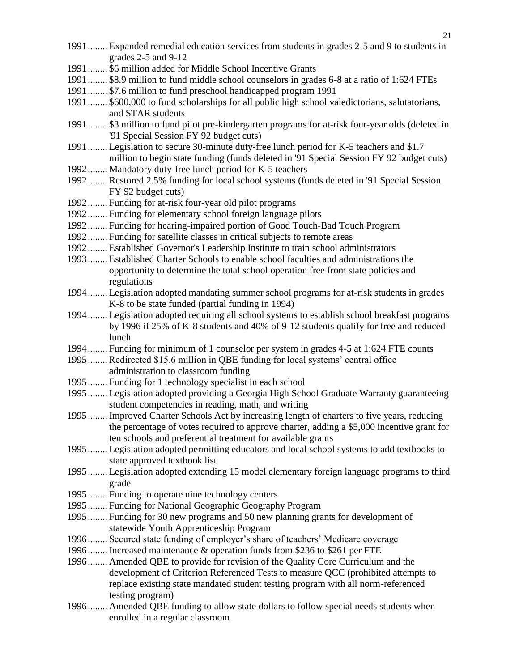- 1991........ Expanded remedial education services from students in grades 2-5 and 9 to students in grades 2-5 and 9-12
- 1991........ \$6 million added for Middle School Incentive Grants
- 1991........ \$8.9 million to fund middle school counselors in grades 6-8 at a ratio of 1:624 FTEs
- 1991........ \$7.6 million to fund preschool handicapped program 1991
- 1991........ \$600,000 to fund scholarships for all public high school valedictorians, salutatorians, and STAR students
- 1991........ \$3 million to fund pilot pre-kindergarten programs for at-risk four-year olds (deleted in '91 Special Session FY 92 budget cuts)
- 1991........ Legislation to secure 30-minute duty-free lunch period for K-5 teachers and \$1.7 million to begin state funding (funds deleted in '91 Special Session FY 92 budget cuts)
- 1992........ Mandatory duty-free lunch period for K-5 teachers
- 1992........ Restored 2.5% funding for local school systems (funds deleted in '91 Special Session FY 92 budget cuts)
- 1992........ Funding for at-risk four-year old pilot programs
- 1992........ Funding for elementary school foreign language pilots
- 1992........ Funding for hearing-impaired portion of Good Touch-Bad Touch Program
- 1992........ Funding for satellite classes in critical subjects to remote areas
- 1992........ Established Governor's Leadership Institute to train school administrators
- 1993........ Established Charter Schools to enable school faculties and administrations the opportunity to determine the total school operation free from state policies and regulations
- 1994........ Legislation adopted mandating summer school programs for at-risk students in grades K-8 to be state funded (partial funding in 1994)
- 1994........ Legislation adopted requiring all school systems to establish school breakfast programs by 1996 if 25% of K-8 students and 40% of 9-12 students qualify for free and reduced lunch
- 1994........ Funding for minimum of 1 counselor per system in grades 4-5 at 1:624 FTE counts
- 1995........ Redirected \$15.6 million in QBE funding for local systems' central office administration to classroom funding
- 1995........ Funding for 1 technology specialist in each school
- 1995........ Legislation adopted providing a Georgia High School Graduate Warranty guaranteeing student competencies in reading, math, and writing
- 1995........ Improved Charter Schools Act by increasing length of charters to five years, reducing the percentage of votes required to approve charter, adding a \$5,000 incentive grant for ten schools and preferential treatment for available grants
- 1995........ Legislation adopted permitting educators and local school systems to add textbooks to state approved textbook list
- 1995........ Legislation adopted extending 15 model elementary foreign language programs to third grade
- 1995........ Funding to operate nine technology centers
- 1995........ Funding for National Geographic Geography Program
- 1995........ Funding for 30 new programs and 50 new planning grants for development of statewide Youth Apprenticeship Program
- 1996........ Secured state funding of employer's share of teachers' Medicare coverage
- 1996........ Increased maintenance & operation funds from \$236 to \$261 per FTE
- 1996........ Amended QBE to provide for revision of the Quality Core Curriculum and the development of Criterion Referenced Tests to measure QCC (prohibited attempts to replace existing state mandated student testing program with all norm-referenced testing program)
- 1996........ Amended QBE funding to allow state dollars to follow special needs students when enrolled in a regular classroom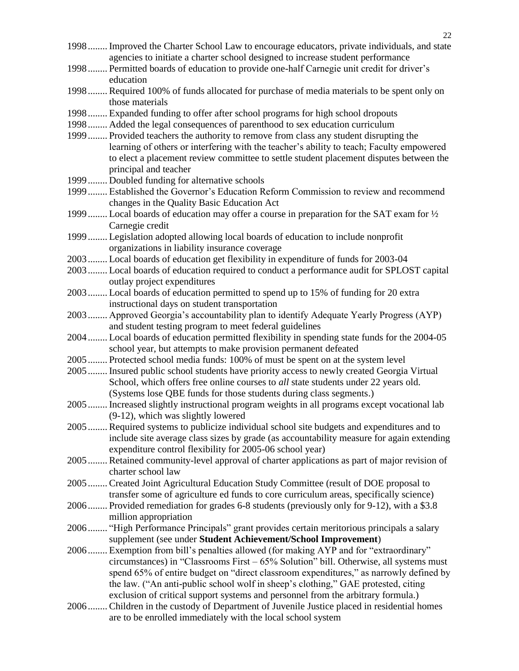agencies to initiate a charter school designed to increase student performance 1998........ Permitted boards of education to provide one-half Carnegie unit credit for driver's education 1998........ Required 100% of funds allocated for purchase of media materials to be spent only on those materials 1998........ Expanded funding to offer after school programs for high school dropouts 1998........ Added the legal consequences of parenthood to sex education curriculum 1999........ Provided teachers the authority to remove from class any student disrupting the learning of others or interfering with the teacher's ability to teach; Faculty empowered to elect a placement review committee to settle student placement disputes between the principal and teacher 1999........ Doubled funding for alternative schools 1999........ Established the Governor's Education Reform Commission to review and recommend changes in the Quality Basic Education Act 1999........ Local boards of education may offer a course in preparation for the SAT exam for ½ Carnegie credit 1999........ Legislation adopted allowing local boards of education to include nonprofit organizations in liability insurance coverage 2003........ Local boards of education get flexibility in expenditure of funds for 2003-04 2003........ Local boards of education required to conduct a performance audit for SPLOST capital outlay project expenditures 2003........ Local boards of education permitted to spend up to 15% of funding for 20 extra instructional days on student transportation 2003........ Approved Georgia's accountability plan to identify Adequate Yearly Progress (AYP) and student testing program to meet federal guidelines 2004........ Local boards of education permitted flexibility in spending state funds for the 2004-05 school year, but attempts to make provision permanent defeated 2005........ Protected school media funds: 100% of must be spent on at the system level 2005........ Insured public school students have priority access to newly created Georgia Virtual School, which offers free online courses to *all* state students under 22 years old. (Systems lose QBE funds for those students during class segments.) 2005........ Increased slightly instructional program weights in all programs except vocational lab (9-12), which was slightly lowered 2005........ Required systems to publicize individual school site budgets and expenditures and to include site average class sizes by grade (as accountability measure for again extending expenditure control flexibility for 2005-06 school year) 2005........ Retained community-level approval of charter applications as part of major revision of charter school law 2005........ Created Joint Agricultural Education Study Committee (result of DOE proposal to transfer some of agriculture ed funds to core curriculum areas, specifically science) 2006........ Provided remediation for grades 6-8 students (previously only for 9-12), with a \$3.8 million appropriation 2006........ "High Performance Principals" grant provides certain meritorious principals a salary supplement (see under **Student Achievement/School Improvement**) 2006........ Exemption from bill's penalties allowed (for making AYP and for "extraordinary" circumstances) in "Classrooms First – 65% Solution" bill. Otherwise, all systems must spend 65% of entire budget on "direct classroom expenditures," as narrowly defined by the law. ("An anti-public school wolf in sheep's clothing," GAE protested, citing exclusion of critical support systems and personnel from the arbitrary formula.) 2006........ Children in the custody of Department of Juvenile Justice placed in residential homes

are to be enrolled immediately with the local school system

1998........ Improved the Charter School Law to encourage educators, private individuals, and state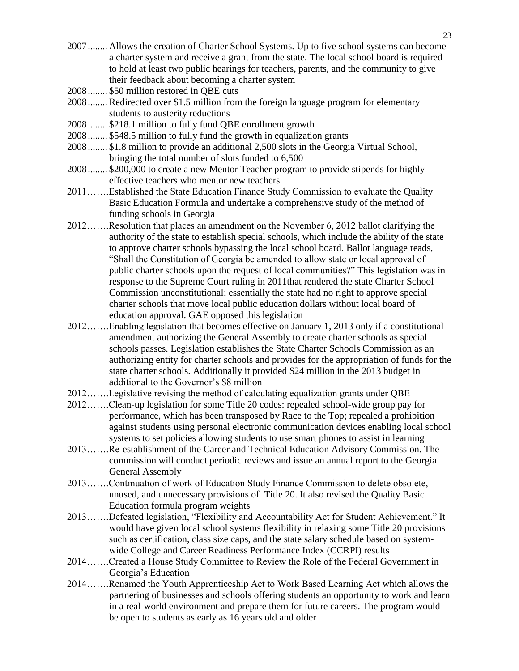- 2007........ Allows the creation of Charter School Systems. Up to five school systems can become a charter system and receive a grant from the state. The local school board is required to hold at least two public hearings for teachers, parents, and the community to give their feedback about becoming a charter system
- 2008........ \$50 million restored in QBE cuts
- 2008........ Redirected over \$1.5 million from the foreign language program for elementary students to austerity reductions
- 2008........ \$218.1 million to fully fund QBE enrollment growth
- 2008........ \$548.5 million to fully fund the growth in equalization grants
- 2008........ \$1.8 million to provide an additional 2,500 slots in the Georgia Virtual School, bringing the total number of slots funded to 6,500
- 2008........ \$200,000 to create a new Mentor Teacher program to provide stipends for highly effective teachers who mentor new teachers
- 2011…….Established the State Education Finance Study Commission to evaluate the Quality Basic Education Formula and undertake a comprehensive study of the method of funding schools in Georgia
- 2012…….Resolution that places an amendment on the November 6, 2012 ballot clarifying the authority of the state to establish special schools, which include the ability of the state to approve charter schools bypassing the local school board. Ballot language reads, "Shall the Constitution of Georgia be amended to allow state or local approval of public charter schools upon the request of local communities?" This legislation was in response to the Supreme Court ruling in 2011that rendered the state Charter School Commission unconstitutional; essentially the state had no right to approve special charter schools that move local public education dollars without local board of education approval. GAE opposed this legislation
- 2012…….Enabling legislation that becomes effective on January 1, 2013 only if a constitutional amendment authorizing the General Assembly to create charter schools as special schools passes. Legislation establishes the State Charter Schools Commission as an authorizing entity for charter schools and provides for the appropriation of funds for the state charter schools. Additionally it provided \$24 million in the 2013 budget in additional to the Governor's \$8 million
- 2012…….Legislative revising the method of calculating equalization grants under QBE
- 2012…….Clean-up legislation for some Title 20 codes: repealed school-wide group pay for performance, which has been transposed by Race to the Top; repealed a prohibition against students using personal electronic communication devices enabling local school systems to set policies allowing students to use smart phones to assist in learning
- 2013…….Re-establishment of the Career and Technical Education Advisory Commission. The commission will conduct periodic reviews and issue an annual report to the Georgia General Assembly
- 2013…….Continuation of work of Education Study Finance Commission to delete obsolete, unused, and unnecessary provisions of Title 20. It also revised the Quality Basic Education formula program weights
- 2013…….Defeated legislation, "Flexibility and Accountability Act for Student Achievement." It would have given local school systems flexibility in relaxing some Title 20 provisions such as certification, class size caps, and the state salary schedule based on systemwide College and Career Readiness Performance Index (CCRPI) results
- 2014…….Created a House Study Committee to Review the Role of the Federal Government in Georgia's Education
- 2014…….Renamed the Youth Apprenticeship Act to Work Based Learning Act which allows the partnering of businesses and schools offering students an opportunity to work and learn in a real-world environment and prepare them for future careers. The program would be open to students as early as 16 years old and older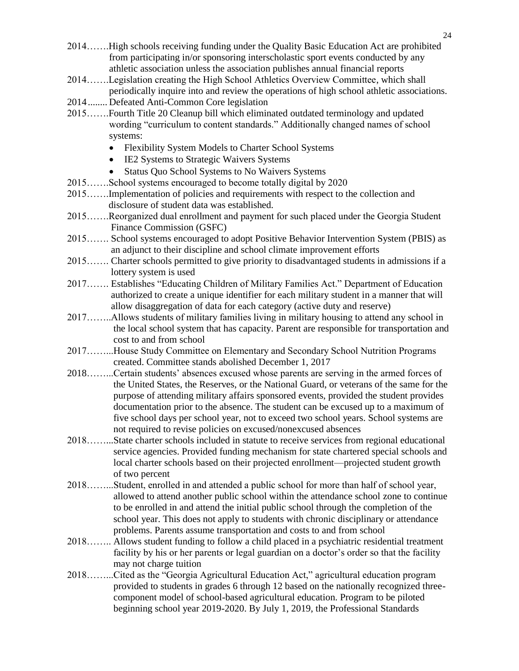- 2014…….High schools receiving funding under the Quality Basic Education Act are prohibited from participating in/or sponsoring interscholastic sport events conducted by any athletic association unless the association publishes annual financial reports
- 2014…….Legislation creating the High School Athletics Overview Committee, which shall periodically inquire into and review the operations of high school athletic associations.
- 2014........ Defeated Anti-Common Core legislation
- 2015…….Fourth Title 20 Cleanup bill which eliminated outdated terminology and updated wording "curriculum to content standards." Additionally changed names of school systems:
	- Flexibility System Models to Charter School Systems
	- IE2 Systems to Strategic Waivers Systems
	- Status Quo School Systems to No Waivers Systems
- 2015…….School systems encouraged to become totally digital by 2020
- 2015…….Implementation of policies and requirements with respect to the collection and disclosure of student data was established.
- 2015…….Reorganized dual enrollment and payment for such placed under the Georgia Student Finance Commission (GSFC)
- 2015……. School systems encouraged to adopt Positive Behavior Intervention System (PBIS) as an adjunct to their discipline and school climate improvement efforts
- 2015……. Charter schools permitted to give priority to disadvantaged students in admissions if a lottery system is used
- 2017……. Establishes "Educating Children of Military Families Act." Department of Education authorized to create a unique identifier for each military student in a manner that will allow disaggregation of data for each category (active duty and reserve)
- 2017……..Allows students of military families living in military housing to attend any school in the local school system that has capacity. Parent are responsible for transportation and cost to and from school
- 2017……...House Study Committee on Elementary and Secondary School Nutrition Programs created. Committee stands abolished December 1, 2017
- 2018……...Certain students' absences excused whose parents are serving in the armed forces of the United States, the Reserves, or the National Guard, or veterans of the same for the purpose of attending military affairs sponsored events, provided the student provides documentation prior to the absence. The student can be excused up to a maximum of five school days per school year, not to exceed two school years. School systems are not required to revise policies on excused/nonexcused absences
- 2018……...State charter schools included in statute to receive services from regional educational service agencies. Provided funding mechanism for state chartered special schools and local charter schools based on their projected enrollment—projected student growth of two percent
- 2018……...Student, enrolled in and attended a public school for more than half of school year, allowed to attend another public school within the attendance school zone to continue to be enrolled in and attend the initial public school through the completion of the school year. This does not apply to students with chronic disciplinary or attendance problems. Parents assume transportation and costs to and from school
- 2018…….. Allows student funding to follow a child placed in a psychiatric residential treatment facility by his or her parents or legal guardian on a doctor's order so that the facility may not charge tuition
- 2018……...Cited as the "Georgia Agricultural Education Act," agricultural education program provided to students in grades 6 through 12 based on the nationally recognized three component model of school-based agricultural education. Program to be piloted beginning school year 2019-2020. By July 1, 2019, the Professional Standards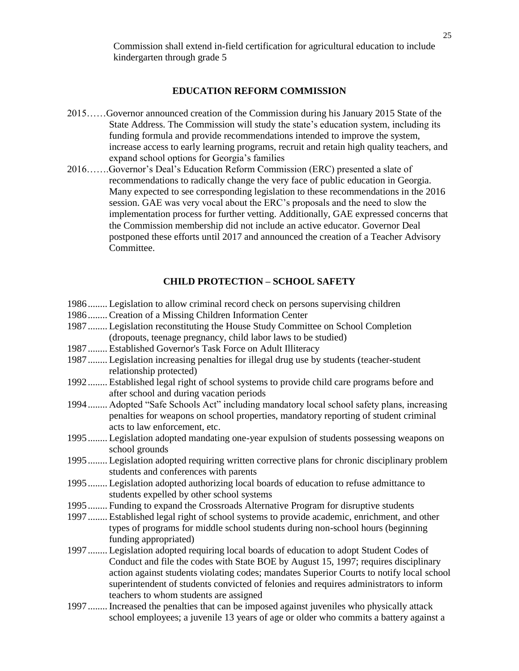Commission shall extend in-field certification for agricultural education to include kindergarten through grade 5

#### **EDUCATION REFORM COMMISSION**

- 2015……Governor announced creation of the Commission during his January 2015 State of the State Address. The Commission will study the state's education system, including its funding formula and provide recommendations intended to improve the system, increase access to early learning programs, recruit and retain high quality teachers, and expand school options for Georgia's families
- 2016…….Governor's Deal's Education Reform Commission (ERC) presented a slate of recommendations to radically change the very face of public education in Georgia. Many expected to see corresponding legislation to these recommendations in the 2016 session. GAE was very vocal about the ERC's proposals and the need to slow the implementation process for further vetting. Additionally, GAE expressed concerns that the Commission membership did not include an active educator. Governor Deal postponed these efforts until 2017 and announced the creation of a Teacher Advisory Committee.

#### **CHILD PROTECTION – SCHOOL SAFETY**

- <span id="page-24-0"></span>1986........ Legislation to allow criminal record check on persons supervising children
- 1986........ Creation of a Missing Children Information Center
- 1987........ Legislation reconstituting the House Study Committee on School Completion (dropouts, teenage pregnancy, child labor laws to be studied)
- 1987........ Established Governor's Task Force on Adult Illiteracy
- 1987........ Legislation increasing penalties for illegal drug use by students (teacher-student relationship protected)
- 1992........ Established legal right of school systems to provide child care programs before and after school and during vacation periods
- 1994........ Adopted "Safe Schools Act" including mandatory local school safety plans, increasing penalties for weapons on school properties, mandatory reporting of student criminal acts to law enforcement, etc.
- 1995........ Legislation adopted mandating one-year expulsion of students possessing weapons on school grounds
- 1995........ Legislation adopted requiring written corrective plans for chronic disciplinary problem students and conferences with parents
- 1995........ Legislation adopted authorizing local boards of education to refuse admittance to students expelled by other school systems
- 1995........ Funding to expand the Crossroads Alternative Program for disruptive students
- 1997........ Established legal right of school systems to provide academic, enrichment, and other types of programs for middle school students during non-school hours (beginning funding appropriated)
- 1997........ Legislation adopted requiring local boards of education to adopt Student Codes of Conduct and file the codes with State BOE by August 15, 1997; requires disciplinary action against students violating codes; mandates Superior Courts to notify local school superintendent of students convicted of felonies and requires administrators to inform teachers to whom students are assigned
- 1997........ Increased the penalties that can be imposed against juveniles who physically attack school employees; a juvenile 13 years of age or older who commits a battery against a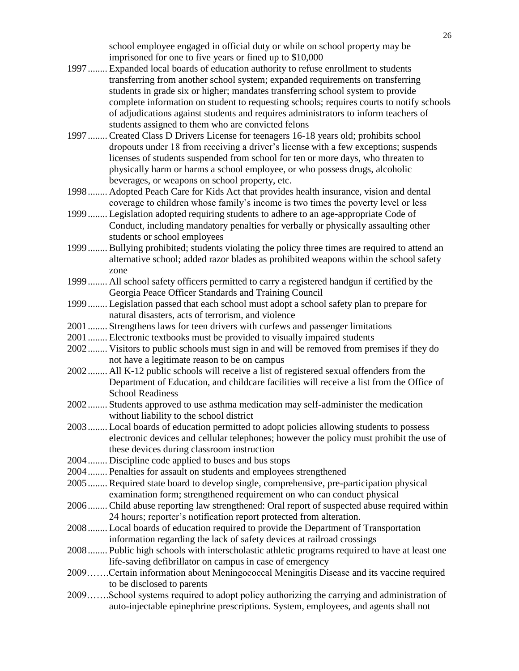school employee engaged in official duty or while on school property may be imprisoned for one to five years or fined up to \$10,000

- 1997........ Expanded local boards of education authority to refuse enrollment to students transferring from another school system; expanded requirements on transferring students in grade six or higher; mandates transferring school system to provide complete information on student to requesting schools; requires courts to notify schools of adjudications against students and requires administrators to inform teachers of students assigned to them who are convicted felons
- 1997........ Created Class D Drivers License for teenagers 16-18 years old; prohibits school dropouts under 18 from receiving a driver's license with a few exceptions; suspends licenses of students suspended from school for ten or more days, who threaten to physically harm or harms a school employee, or who possess drugs, alcoholic beverages, or weapons on school property, etc.
- 1998........ Adopted Peach Care for Kids Act that provides health insurance, vision and dental coverage to children whose family's income is two times the poverty level or less
- 1999........ Legislation adopted requiring students to adhere to an age-appropriate Code of Conduct, including mandatory penalties for verbally or physically assaulting other students or school employees
- 1999........ Bullying prohibited; students violating the policy three times are required to attend an alternative school; added razor blades as prohibited weapons within the school safety zone
- 1999........ All school safety officers permitted to carry a registered handgun if certified by the Georgia Peace Officer Standards and Training Council
- 1999........ Legislation passed that each school must adopt a school safety plan to prepare for natural disasters, acts of terrorism, and violence
- 2001........ Strengthens laws for teen drivers with curfews and passenger limitations
- 2001........ Electronic textbooks must be provided to visually impaired students
- 2002........ Visitors to public schools must sign in and will be removed from premises if they do not have a legitimate reason to be on campus
- 2002........ All K-12 public schools will receive a list of registered sexual offenders from the Department of Education, and childcare facilities will receive a list from the Office of School Readiness
- 2002........ Students approved to use asthma medication may self-administer the medication without liability to the school district
- 2003........ Local boards of education permitted to adopt policies allowing students to possess electronic devices and cellular telephones; however the policy must prohibit the use of these devices during classroom instruction
- 2004........ Discipline code applied to buses and bus stops
- 2004........ Penalties for assault on students and employees strengthened
- 2005........ Required state board to develop single, comprehensive, pre-participation physical examination form; strengthened requirement on who can conduct physical
- 2006........ Child abuse reporting law strengthened: Oral report of suspected abuse required within 24 hours; reporter's notification report protected from alteration.
- 2008........ Local boards of education required to provide the Department of Transportation information regarding the lack of safety devices at railroad crossings
- 2008........ Public high schools with interscholastic athletic programs required to have at least one life-saving defibrillator on campus in case of emergency
- 2009…….Certain information about Meningococcal Meningitis Disease and its vaccine required to be disclosed to parents
- 2009…….School systems required to adopt policy authorizing the carrying and administration of auto-injectable epinephrine prescriptions. System, employees, and agents shall not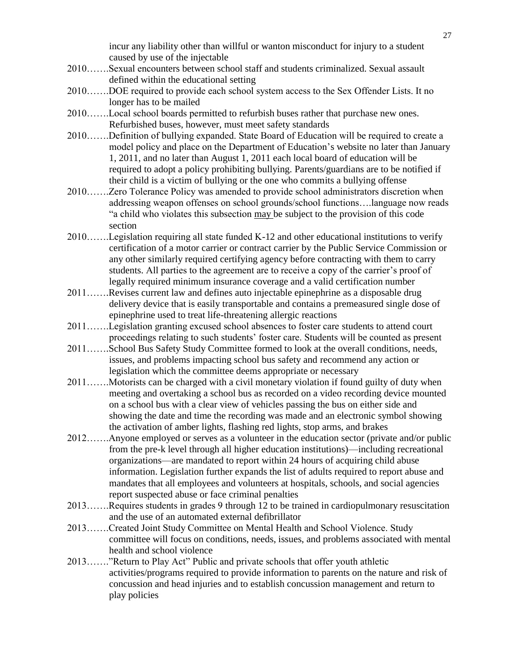incur any liability other than willful or wanton misconduct for injury to a student caused by use of the injectable

- 2010…….Sexual encounters between school staff and students criminalized. Sexual assault defined within the educational setting
- 2010…….DOE required to provide each school system access to the Sex Offender Lists. It no longer has to be mailed
- 2010…….Local school boards permitted to refurbish buses rather that purchase new ones. Refurbished buses, however, must meet safety standards
- 2010…….Definition of bullying expanded. State Board of Education will be required to create a model policy and place on the Department of Education's website no later than January 1, 2011, and no later than August 1, 2011 each local board of education will be required to adopt a policy prohibiting bullying. Parents/guardians are to be notified if their child is a victim of bullying or the one who commits a bullying offense
- 2010…….Zero Tolerance Policy was amended to provide school administrators discretion when addressing weapon offenses on school grounds/school functions….language now reads "a child who violates this subsection may be subject to the provision of this code section
- 2010…….Legislation requiring all state funded K-12 and other educational institutions to verify certification of a motor carrier or contract carrier by the Public Service Commission or any other similarly required certifying agency before contracting with them to carry students. All parties to the agreement are to receive a copy of the carrier's proof of legally required minimum insurance coverage and a valid certification number
- 2011…….Revises current law and defines auto injectable epinephrine as a disposable drug delivery device that is easily transportable and contains a premeasured single dose of epinephrine used to treat life-threatening allergic reactions
- 2011…….Legislation granting excused school absences to foster care students to attend court proceedings relating to such students' foster care. Students will be counted as present
- 2011…….School Bus Safety Study Committee formed to look at the overall conditions, needs, issues, and problems impacting school bus safety and recommend any action or legislation which the committee deems appropriate or necessary
- 2011…….Motorists can be charged with a civil monetary violation if found guilty of duty when meeting and overtaking a school bus as recorded on a video recording device mounted on a school bus with a clear view of vehicles passing the bus on either side and showing the date and time the recording was made and an electronic symbol showing the activation of amber lights, flashing red lights, stop arms, and brakes
- 2012…….Anyone employed or serves as a volunteer in the education sector (private and/or public from the pre-k level through all higher education institutions)—including recreational organizations—are mandated to report within 24 hours of acquiring child abuse information. Legislation further expands the list of adults required to report abuse and mandates that all employees and volunteers at hospitals, schools, and social agencies report suspected abuse or face criminal penalties
- 2013…….Requires students in grades 9 through 12 to be trained in cardiopulmonary resuscitation and the use of an automated external defibrillator
- 2013…….Created Joint Study Committee on Mental Health and School Violence. Study committee will focus on conditions, needs, issues, and problems associated with mental health and school violence
- 2013……."Return to Play Act" Public and private schools that offer youth athletic activities/programs required to provide information to parents on the nature and risk of concussion and head injuries and to establish concussion management and return to play policies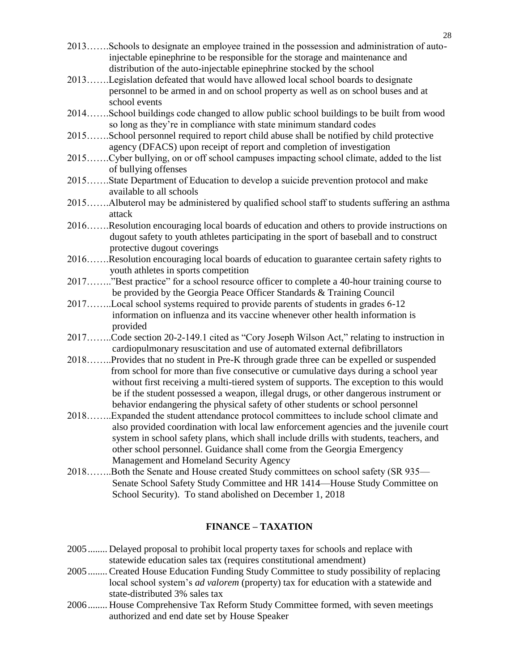- 2013…….Schools to designate an employee trained in the possession and administration of autoinjectable epinephrine to be responsible for the storage and maintenance and distribution of the auto-injectable epinephrine stocked by the school
- 2013…….Legislation defeated that would have allowed local school boards to designate personnel to be armed in and on school property as well as on school buses and at school events
- 2014…….School buildings code changed to allow public school buildings to be built from wood so long as they're in compliance with state minimum standard codes
- 2015…….School personnel required to report child abuse shall be notified by child protective agency (DFACS) upon receipt of report and completion of investigation
- 2015…….Cyber bullying, on or off school campuses impacting school climate, added to the list of bullying offenses
- 2015…….State Department of Education to develop a suicide prevention protocol and make available to all schools
- 2015…….Albuterol may be administered by qualified school staff to students suffering an asthma attack
- 2016…….Resolution encouraging local boards of education and others to provide instructions on dugout safety to youth athletes participating in the sport of baseball and to construct protective dugout coverings
- 2016…….Resolution encouraging local boards of education to guarantee certain safety rights to youth athletes in sports competition
- 2017…….."Best practice" for a school resource officer to complete a 40-hour training course to be provided by the Georgia Peace Officer Standards & Training Council
- 2017……..Local school systems required to provide parents of students in grades 6-12 information on influenza and its vaccine whenever other health information is provided
- 2017……..Code section 20-2-149.1 cited as "Cory Joseph Wilson Act," relating to instruction in cardiopulmonary resuscitation and use of automated external defibrillators
- 2018……..Provides that no student in Pre-K through grade three can be expelled or suspended from school for more than five consecutive or cumulative days during a school year without first receiving a multi-tiered system of supports. The exception to this would be if the student possessed a weapon, illegal drugs, or other dangerous instrument or behavior endangering the physical safety of other students or school personnel
- 2018……..Expanded the student attendance protocol committees to include school climate and also provided coordination with local law enforcement agencies and the juvenile court system in school safety plans, which shall include drills with students, teachers, and other school personnel. Guidance shall come from the Georgia Emergency Management and Homeland Security Agency
- <span id="page-27-0"></span>2018……..Both the Senate and House created Study committees on school safety (SR 935— Senate School Safety Study Committee and HR 1414—House Study Committee on School Security). To stand abolished on December 1, 2018

#### **FINANCE – TAXATION**

- 2005........ Delayed proposal to prohibit local property taxes for schools and replace with statewide education sales tax (requires constitutional amendment)
- 2005........ Created House Education Funding Study Committee to study possibility of replacing local school system's *ad valorem* (property) tax for education with a statewide and state-distributed 3% sales tax
- 2006........ House Comprehensive Tax Reform Study Committee formed, with seven meetings authorized and end date set by House Speaker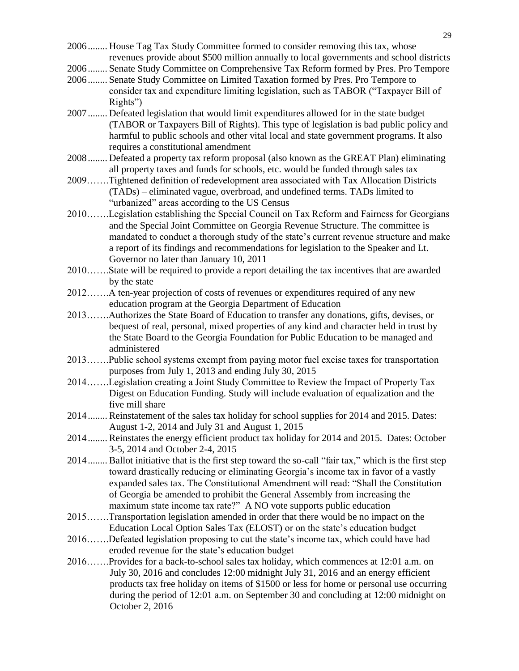2006........ House Tag Tax Study Committee formed to consider removing this tax, whose revenues provide about \$500 million annually to local governments and school districts

2006........ Senate Study Committee on Comprehensive Tax Reform formed by Pres. Pro Tempore

- 2006........ Senate Study Committee on Limited Taxation formed by Pres. Pro Tempore to consider tax and expenditure limiting legislation, such as TABOR ("Taxpayer Bill of Rights")
- 2007........ Defeated legislation that would limit expenditures allowed for in the state budget (TABOR or Taxpayers Bill of Rights). This type of legislation is bad public policy and harmful to public schools and other vital local and state government programs. It also requires a constitutional amendment
- 2008........ Defeated a property tax reform proposal (also known as the GREAT Plan) eliminating all property taxes and funds for schools, etc. would be funded through sales tax
- 2009…….Tightened definition of redevelopment area associated with Tax Allocation Districts (TADs) – eliminated vague, overbroad, and undefined terms. TADs limited to "urbanized" areas according to the US Census
- 2010…….Legislation establishing the Special Council on Tax Reform and Fairness for Georgians and the Special Joint Committee on Georgia Revenue Structure. The committee is mandated to conduct a thorough study of the state's current revenue structure and make a report of its findings and recommendations for legislation to the Speaker and Lt. Governor no later than January 10, 2011
- 2010…….State will be required to provide a report detailing the tax incentives that are awarded by the state
- 2012…….A ten-year projection of costs of revenues or expenditures required of any new education program at the Georgia Department of Education
- 2013…….Authorizes the State Board of Education to transfer any donations, gifts, devises, or bequest of real, personal, mixed properties of any kind and character held in trust by the State Board to the Georgia Foundation for Public Education to be managed and administered
- 2013…….Public school systems exempt from paying motor fuel excise taxes for transportation purposes from July 1, 2013 and ending July 30, 2015
- 2014…….Legislation creating a Joint Study Committee to Review the Impact of Property Tax Digest on Education Funding. Study will include evaluation of equalization and the five mill share
- 2014........ Reinstatement of the sales tax holiday for school supplies for 2014 and 2015. Dates: August 1-2, 2014 and July 31 and August 1, 2015
- 2014........ Reinstates the energy efficient product tax holiday for 2014 and 2015. Dates: October 3-5, 2014 and October 2-4, 2015
- 2014........ Ballot initiative that is the first step toward the so-call "fair tax," which is the first step toward drastically reducing or eliminating Georgia's income tax in favor of a vastly expanded sales tax. The Constitutional Amendment will read: "Shall the Constitution of Georgia be amended to prohibit the General Assembly from increasing the maximum state income tax rate?" A NO vote supports public education
- 2015…….Transportation legislation amended in order that there would be no impact on the Education Local Option Sales Tax (ELOST) or on the state's education budget
- 2016…….Defeated legislation proposing to cut the state's income tax, which could have had eroded revenue for the state's education budget
- 2016…….Provides for a back-to-school sales tax holiday, which commences at 12:01 a.m. on July 30, 2016 and concludes 12:00 midnight July 31, 2016 and an energy efficient products tax free holiday on items of \$1500 or less for home or personal use occurring during the period of 12:01 a.m. on September 30 and concluding at 12:00 midnight on October 2, 2016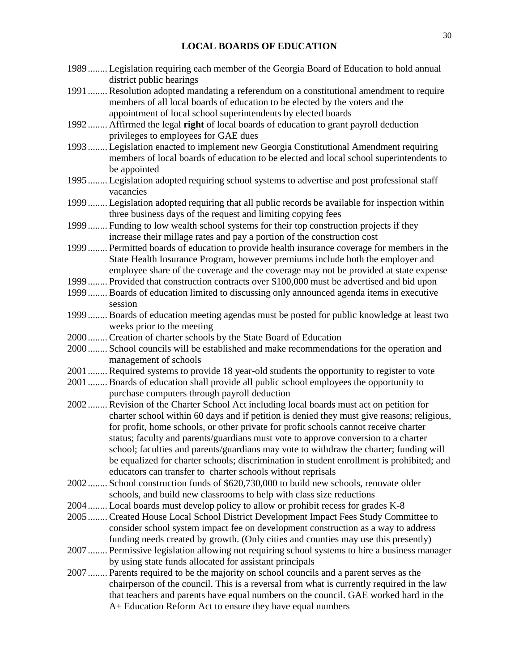#### **LOCAL BOARDS OF EDUCATION**

- <span id="page-29-0"></span>1989........ Legislation requiring each member of the Georgia Board of Education to hold annual district public hearings
- 1991........ Resolution adopted mandating a referendum on a constitutional amendment to require members of all local boards of education to be elected by the voters and the appointment of local school superintendents by elected boards
- 1992........ Affirmed the legal **right** of local boards of education to grant payroll deduction privileges to employees for GAE dues
- 1993........ Legislation enacted to implement new Georgia Constitutional Amendment requiring members of local boards of education to be elected and local school superintendents to be appointed
- 1995........ Legislation adopted requiring school systems to advertise and post professional staff vacancies
- 1999........ Legislation adopted requiring that all public records be available for inspection within three business days of the request and limiting copying fees
- 1999........ Funding to low wealth school systems for their top construction projects if they increase their millage rates and pay a portion of the construction cost
- 1999........ Permitted boards of education to provide health insurance coverage for members in the State Health Insurance Program, however premiums include both the employer and employee share of the coverage and the coverage may not be provided at state expense
- 1999........ Provided that construction contracts over \$100,000 must be advertised and bid upon
- 1999........ Boards of education limited to discussing only announced agenda items in executive session
- 1999........ Boards of education meeting agendas must be posted for public knowledge at least two weeks prior to the meeting
- 2000........ Creation of charter schools by the State Board of Education
- 2000........ School councils will be established and make recommendations for the operation and management of schools
- 2001........ Required systems to provide 18 year-old students the opportunity to register to vote
- 2001........ Boards of education shall provide all public school employees the opportunity to purchase computers through payroll deduction
- 2002........ Revision of the Charter School Act including local boards must act on petition for charter school within 60 days and if petition is denied they must give reasons; religious, for profit, home schools, or other private for profit schools cannot receive charter status; faculty and parents/guardians must vote to approve conversion to a charter school; faculties and parents/guardians may vote to withdraw the charter; funding will be equalized for charter schools; discrimination in student enrollment is prohibited; and educators can transfer to charter schools without reprisals
- 2002........ School construction funds of \$620,730,000 to build new schools, renovate older schools, and build new classrooms to help with class size reductions
- 2004........ Local boards must develop policy to allow or prohibit recess for grades K-8
- 2005........ Created House Local School District Development Impact Fees Study Committee to consider school system impact fee on development construction as a way to address funding needs created by growth. (Only cities and counties may use this presently)
- 2007........ Permissive legislation allowing not requiring school systems to hire a business manager by using state funds allocated for assistant principals
- 2007........ Parents required to be the majority on school councils and a parent serves as the chairperson of the council. This is a reversal from what is currently required in the law that teachers and parents have equal numbers on the council. GAE worked hard in the A+ Education Reform Act to ensure they have equal numbers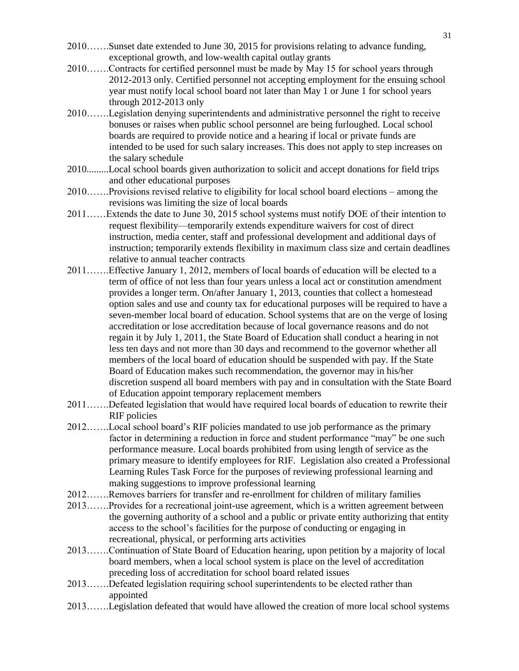- 2010…….Sunset date extended to June 30, 2015 for provisions relating to advance funding, exceptional growth, and low-wealth capital outlay grants
- 2010…….Contracts for certified personnel must be made by May 15 for school years through 2012-2013 only. Certified personnel not accepting employment for the ensuing school year must notify local school board not later than May 1 or June 1 for school years through 2012-2013 only
- 2010…….Legislation denying superintendents and administrative personnel the right to receive bonuses or raises when public school personnel are being furloughed. Local school boards are required to provide notice and a hearing if local or private funds are intended to be used for such salary increases. This does not apply to step increases on the salary schedule
- 2010.........Local school boards given authorization to solicit and accept donations for field trips and other educational purposes
- 2010…….Provisions revised relative to eligibility for local school board elections among the revisions was limiting the size of local boards
- 2011……Extends the date to June 30, 2015 school systems must notify DOE of their intention to request flexibility—temporarily extends expenditure waivers for cost of direct instruction, media center, staff and professional development and additional days of instruction; temporarily extends flexibility in maximum class size and certain deadlines relative to annual teacher contracts
- 2011…….Effective January 1, 2012, members of local boards of education will be elected to a term of office of not less than four years unless a local act or constitution amendment provides a longer term. On/after January 1, 2013, counties that collect a homestead option sales and use and county tax for educational purposes will be required to have a seven-member local board of education. School systems that are on the verge of losing accreditation or lose accreditation because of local governance reasons and do not regain it by July 1, 2011, the State Board of Education shall conduct a hearing in not less ten days and not more than 30 days and recommend to the governor whether all members of the local board of education should be suspended with pay. If the State Board of Education makes such recommendation, the governor may in his/her discretion suspend all board members with pay and in consultation with the State Board of Education appoint temporary replacement members
- 2011…….Defeated legislation that would have required local boards of education to rewrite their RIF policies
- 2012…….Local school board's RIF policies mandated to use job performance as the primary factor in determining a reduction in force and student performance "may" be one such performance measure. Local boards prohibited from using length of service as the primary measure to identify employees for RIF. Legislation also created a Professional Learning Rules Task Force for the purposes of reviewing professional learning and making suggestions to improve professional learning
- 2012…….Removes barriers for transfer and re-enrollment for children of military families
- 2013…….Provides for a recreational joint-use agreement, which is a written agreement between the governing authority of a school and a public or private entity authorizing that entity access to the school's facilities for the purpose of conducting or engaging in recreational, physical, or performing arts activities
- 2013…….Continuation of State Board of Education hearing, upon petition by a majority of local board members, when a local school system is place on the level of accreditation preceding loss of accreditation for school board related issues
- 2013…….Defeated legislation requiring school superintendents to be elected rather than appointed
- 2013…….Legislation defeated that would have allowed the creation of more local school systems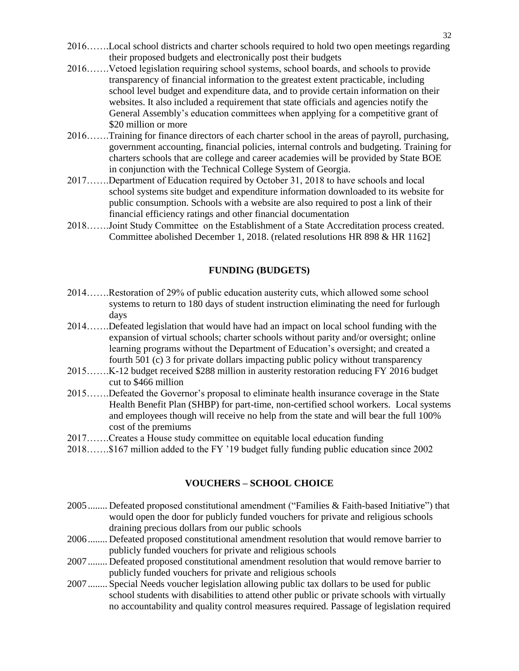- 2016…….Local school districts and charter schools required to hold two open meetings regarding their proposed budgets and electronically post their budgets
- 2016…….Vetoed legislation requiring school systems, school boards, and schools to provide transparency of financial information to the greatest extent practicable, including school level budget and expenditure data, and to provide certain information on their websites. It also included a requirement that state officials and agencies notify the General Assembly's education committees when applying for a competitive grant of \$20 million or more
- 2016…….Training for finance directors of each charter school in the areas of payroll, purchasing, government accounting, financial policies, internal controls and budgeting. Training for charters schools that are college and career academies will be provided by State BOE in conjunction with the Technical College System of Georgia.
- 2017…….Department of Education required by October 31, 2018 to have schools and local school systems site budget and expenditure information downloaded to its website for public consumption. Schools with a website are also required to post a link of their financial efficiency ratings and other financial documentation
- 2018…….Joint Study Committee on the Establishment of a State Accreditation process created. Committee abolished December 1, 2018. (related resolutions HR 898 & HR 1162]

#### **FUNDING (BUDGETS)**

- 2014…….Restoration of 29% of public education austerity cuts, which allowed some school systems to return to 180 days of student instruction eliminating the need for furlough days
- 2014…….Defeated legislation that would have had an impact on local school funding with the expansion of virtual schools; charter schools without parity and/or oversight; online learning programs without the Department of Education's oversight; and created a fourth 501 (c) 3 for private dollars impacting public policy without transparency
- 2015…….K-12 budget received \$288 million in austerity restoration reducing FY 2016 budget cut to \$466 million
- 2015…….Defeated the Governor's proposal to eliminate health insurance coverage in the State Health Benefit Plan (SHBP) for part-time, non-certified school workers. Local systems and employees though will receive no help from the state and will bear the full 100% cost of the premiums
- 2017…….Creates a House study committee on equitable local education funding
- 2018…….\$167 million added to the FY '19 budget fully funding public education since 2002

#### **VOUCHERS – SCHOOL CHOICE**

- <span id="page-31-0"></span>2005........ Defeated proposed constitutional amendment ("Families & Faith-based Initiative") that would open the door for publicly funded vouchers for private and religious schools draining precious dollars from our public schools
- 2006........ Defeated proposed constitutional amendment resolution that would remove barrier to publicly funded vouchers for private and religious schools
- 2007........ Defeated proposed constitutional amendment resolution that would remove barrier to publicly funded vouchers for private and religious schools
- 2007........ Special Needs voucher legislation allowing public tax dollars to be used for public school students with disabilities to attend other public or private schools with virtually no accountability and quality control measures required. Passage of legislation required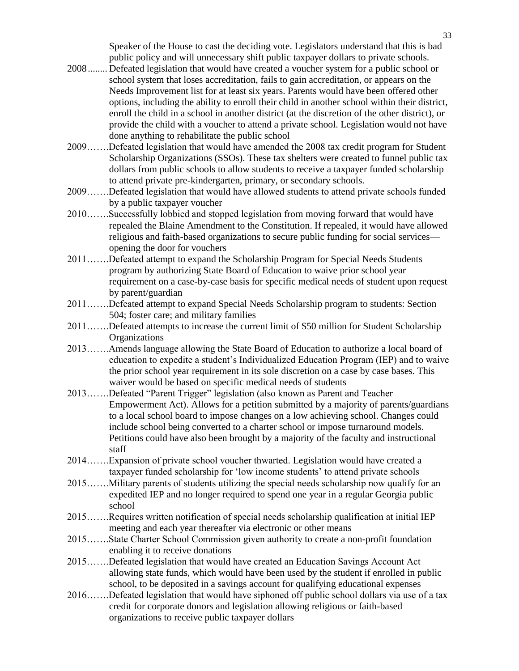Speaker of the House to cast the deciding vote. Legislators understand that this is bad public policy and will unnecessary shift public taxpayer dollars to private schools.

- 2008........ Defeated legislation that would have created a voucher system for a public school or school system that loses accreditation, fails to gain accreditation, or appears on the Needs Improvement list for at least six years. Parents would have been offered other options, including the ability to enroll their child in another school within their district, enroll the child in a school in another district (at the discretion of the other district), or provide the child with a voucher to attend a private school. Legislation would not have done anything to rehabilitate the public school
- 2009…….Defeated legislation that would have amended the 2008 tax credit program for Student Scholarship Organizations (SSOs). These tax shelters were created to funnel public tax dollars from public schools to allow students to receive a taxpayer funded scholarship to attend private pre-kindergarten, primary, or secondary schools.
- 2009…….Defeated legislation that would have allowed students to attend private schools funded by a public taxpayer voucher
- 2010…….Successfully lobbied and stopped legislation from moving forward that would have repealed the Blaine Amendment to the Constitution. If repealed, it would have allowed religious and faith-based organizations to secure public funding for social services opening the door for vouchers
- 2011…….Defeated attempt to expand the Scholarship Program for Special Needs Students program by authorizing State Board of Education to waive prior school year requirement on a case-by-case basis for specific medical needs of student upon request by parent/guardian
- 2011…….Defeated attempt to expand Special Needs Scholarship program to students: Section 504; foster care; and military families
- 2011…….Defeated attempts to increase the current limit of \$50 million for Student Scholarship **Organizations**
- 2013…….Amends language allowing the State Board of Education to authorize a local board of education to expedite a student's Individualized Education Program (IEP) and to waive the prior school year requirement in its sole discretion on a case by case bases. This waiver would be based on specific medical needs of students
- 2013…….Defeated "Parent Trigger" legislation (also known as Parent and Teacher Empowerment Act). Allows for a petition submitted by a majority of parents/guardians to a local school board to impose changes on a low achieving school. Changes could include school being converted to a charter school or impose turnaround models. Petitions could have also been brought by a majority of the faculty and instructional staff
- 2014…….Expansion of private school voucher thwarted. Legislation would have created a taxpayer funded scholarship for 'low income students' to attend private schools
- 2015…….Military parents of students utilizing the special needs scholarship now qualify for an expedited IEP and no longer required to spend one year in a regular Georgia public school
- 2015…….Requires written notification of special needs scholarship qualification at initial IEP meeting and each year thereafter via electronic or other means
- 2015…….State Charter School Commission given authority to create a non-profit foundation enabling it to receive donations
- 2015…….Defeated legislation that would have created an Education Savings Account Act allowing state funds, which would have been used by the student if enrolled in public school, to be deposited in a savings account for qualifying educational expenses
- 2016…….Defeated legislation that would have siphoned off public school dollars via use of a tax credit for corporate donors and legislation allowing religious or faith-based organizations to receive public taxpayer dollars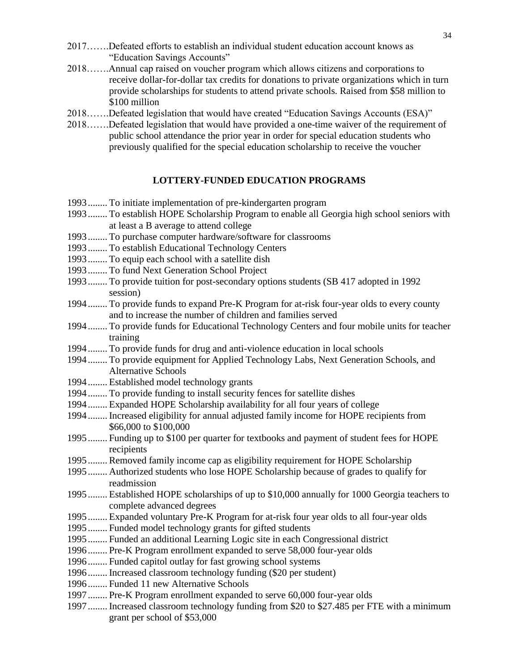- 2017…….Defeated efforts to establish an individual student education account knows as "Education Savings Accounts"
- 2018…….Annual cap raised on voucher program which allows citizens and corporations to receive dollar-for-dollar tax credits for donations to private organizations which in turn provide scholarships for students to attend private schools. Raised from \$58 million to \$100 million
- 2018…….Defeated legislation that would have created "Education Savings Accounts (ESA)"
- 2018…….Defeated legislation that would have provided a one-time waiver of the requirement of public school attendance the prior year in order for special education students who previously qualified for the special education scholarship to receive the voucher

#### **LOTTERY-FUNDED EDUCATION PROGRAMS**

- <span id="page-33-0"></span>1993........ To initiate implementation of pre-kindergarten program
- 1993........ To establish HOPE Scholarship Program to enable all Georgia high school seniors with at least a B average to attend college
- 1993........ To purchase computer hardware/software for classrooms
- 1993........ To establish Educational Technology Centers
- 1993........ To equip each school with a satellite dish
- 1993........ To fund Next Generation School Project
- 1993........ To provide tuition for post-secondary options students (SB 417 adopted in 1992 session)
- 1994........ To provide funds to expand Pre-K Program for at-risk four-year olds to every county and to increase the number of children and families served
- 1994........ To provide funds for Educational Technology Centers and four mobile units for teacher training
- 1994........ To provide funds for drug and anti-violence education in local schools
- 1994........ To provide equipment for Applied Technology Labs, Next Generation Schools, and Alternative Schools
- 1994........ Established model technology grants
- 1994........ To provide funding to install security fences for satellite dishes
- 1994........ Expanded HOPE Scholarship availability for all four years of college
- 1994........ Increased eligibility for annual adjusted family income for HOPE recipients from \$66,000 to \$100,000
- 1995........ Funding up to \$100 per quarter for textbooks and payment of student fees for HOPE recipients
- 1995........ Removed family income cap as eligibility requirement for HOPE Scholarship
- 1995........ Authorized students who lose HOPE Scholarship because of grades to qualify for readmission
- 1995........ Established HOPE scholarships of up to \$10,000 annually for 1000 Georgia teachers to complete advanced degrees
- 1995........ Expanded voluntary Pre-K Program for at-risk four year olds to all four-year olds
- 1995........ Funded model technology grants for gifted students
- 1995........ Funded an additional Learning Logic site in each Congressional district
- 1996........ Pre-K Program enrollment expanded to serve 58,000 four-year olds
- 1996........ Funded capitol outlay for fast growing school systems
- 1996........ Increased classroom technology funding (\$20 per student)
- 1996........ Funded 11 new Alternative Schools
- 1997........ Pre-K Program enrollment expanded to serve 60,000 four-year olds
- 1997........ Increased classroom technology funding from \$20 to \$27.485 per FTE with a minimum grant per school of \$53,000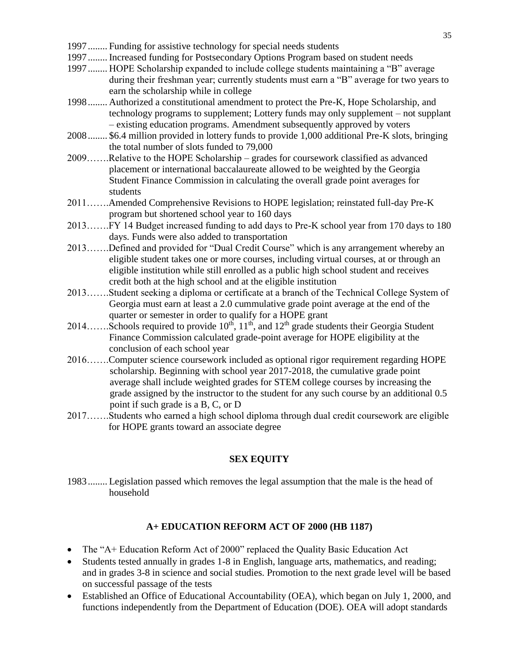- 1997........ Funding for assistive technology for special needs students
- 1997........ Increased funding for Postsecondary Options Program based on student needs
- 1997........ HOPE Scholarship expanded to include college students maintaining a "B" average during their freshman year; currently students must earn a "B" average for two years to earn the scholarship while in college
- 1998........ Authorized a constitutional amendment to protect the Pre-K, Hope Scholarship, and technology programs to supplement; Lottery funds may only supplement – not supplant – existing education programs. Amendment subsequently approved by voters
- 2008........ \$6.4 million provided in lottery funds to provide 1,000 additional Pre-K slots, bringing the total number of slots funded to 79,000
- 2009…….Relative to the HOPE Scholarship grades for coursework classified as advanced placement or international baccalaureate allowed to be weighted by the Georgia Student Finance Commission in calculating the overall grade point averages for students
- 2011…….Amended Comprehensive Revisions to HOPE legislation; reinstated full-day Pre-K program but shortened school year to 160 days
- 2013…….FY 14 Budget increased funding to add days to Pre-K school year from 170 days to 180 days. Funds were also added to transportation
- 2013…….Defined and provided for "Dual Credit Course" which is any arrangement whereby an eligible student takes one or more courses, including virtual courses, at or through an eligible institution while still enrolled as a public high school student and receives credit both at the high school and at the eligible institution
- 2013…….Student seeking a diploma or certificate at a branch of the Technical College System of Georgia must earn at least a 2.0 cummulative grade point average at the end of the quarter or semester in order to qualify for a HOPE grant
- 2014……Schools required to provide  $10^{th}$ ,  $11^{th}$ , and  $12^{th}$  grade students their Georgia Student Finance Commission calculated grade-point average for HOPE eligibility at the conclusion of each school year
- 2016…….Computer science coursework included as optional rigor requirement regarding HOPE scholarship. Beginning with school year 2017-2018, the cumulative grade point average shall include weighted grades for STEM college courses by increasing the grade assigned by the instructor to the student for any such course by an additional 0.5 point if such grade is a B, C, or D
- <span id="page-34-0"></span>2017…….Students who earned a high school diploma through dual credit coursework are eligible for HOPE grants toward an associate degree

#### **SEX EQUITY**

1983........ Legislation passed which removes the legal assumption that the male is the head of household

#### **A+ EDUCATION REFORM ACT OF 2000 (HB 1187)**

- <span id="page-34-1"></span>• The "A+ Education Reform Act of 2000" replaced the Quality Basic Education Act
- Students tested annually in grades 1-8 in English, language arts, mathematics, and reading; and in grades 3-8 in science and social studies. Promotion to the next grade level will be based on successful passage of the tests
- Established an Office of Educational Accountability (OEA), which began on July 1, 2000, and functions independently from the Department of Education (DOE). OEA will adopt standards